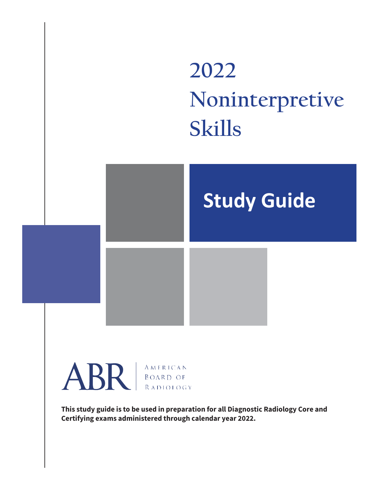

**This study guide is to be used in preparation for all Diagnostic Radiology Core and Certifying exams administered through calendar year 2022.**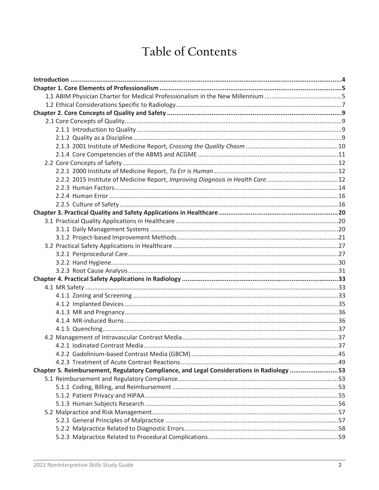# Table of Contents

| Chapter 5. Reimbursement, Regulatory Compliance, and Legal Considerations in Radiology 53 |  |
|-------------------------------------------------------------------------------------------|--|
|                                                                                           |  |
|                                                                                           |  |
|                                                                                           |  |
|                                                                                           |  |
|                                                                                           |  |
|                                                                                           |  |
|                                                                                           |  |
|                                                                                           |  |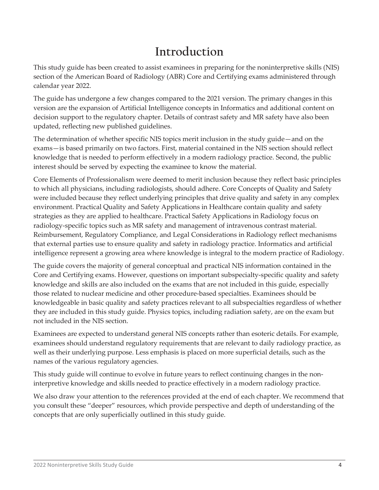# **Introduction**

This study guide has been created to assist examinees in preparing for the noninterpretive skills (NIS) section of the American Board of Radiology (ABR) Core and Certifying exams administered through calendar year 2022.

The guide has undergone a few changes compared to the 2021 version. The primary changes in this version are the expansion of Artificial Intelligence concepts in Informatics and additional content on decision support to the regulatory chapter. Details of contrast safety and MR safety have also been updated, reflecting new published guidelines.

The determination of whether specific NIS topics merit inclusion in the study guide—and on the exams—is based primarily on two factors. First, material contained in the NIS section should reflect knowledge that is needed to perform effectively in a modern radiology practice. Second, the public interest should be served by expecting the examinee to know the material.

Core Elements of Professionalism were deemed to merit inclusion because they reflect basic principles to which all physicians, including radiologists, should adhere. Core Concepts of Quality and Safety were included because they reflect underlying principles that drive quality and safety in any complex environment. Practical Quality and Safety Applications in Healthcare contain quality and safety strategies as they are applied to healthcare. Practical Safety Applications in Radiology focus on radiology-specific topics such as MR safety and management of intravenous contrast material. Reimbursement, Regulatory Compliance, and Legal Considerations in Radiology reflect mechanisms that external parties use to ensure quality and safety in radiology practice. Informatics and artificial intelligence represent a growing area where knowledge is integral to the modern practice of Radiology.

The guide covers the majority of general conceptual and practical NIS information contained in the Core and Certifying exams. However, questions on important subspecialty-specific quality and safety knowledge and skills are also included on the exams that are not included in this guide, especially those related to nuclear medicine and other procedure-based specialties. Examinees should be knowledgeable in basic quality and safety practices relevant to all subspecialties regardless of whether they are included in this study guide. Physics topics, including radiation safety, are on the exam but not included in the NIS section.

Examinees are expected to understand general NIS concepts rather than esoteric details. For example, examinees should understand regulatory requirements that are relevant to daily radiology practice, as well as their underlying purpose. Less emphasis is placed on more superficial details, such as the names of the various regulatory agencies.

This study guide will continue to evolve in future years to reflect continuing changes in the noninterpretive knowledge and skills needed to practice effectively in a modern radiology practice.

We also draw your attention to the references provided at the end of each chapter. We recommend that you consult these "deeper" resources, which provide perspective and depth of understanding of the concepts that are only superficially outlined in this study guide.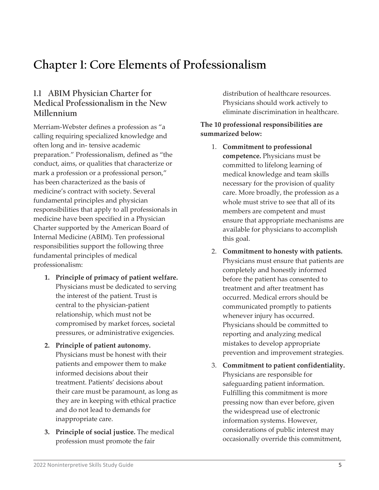# **Chapter 1: Core Elements of Professionalism**

# **1.1 ABIM Physician Charter for Medical Professionalism in the New Millennium**

Merriam-Webster defines a profession as "a calling requiring specialized knowledge and often long and in- tensive academic preparation." Professionalism, defined as "the conduct, aims, or qualities that characterize or mark a profession or a professional person," has been characterized as the basis of medicine's contract with society. Several fundamental principles and physician responsibilities that apply to all professionals in medicine have been specified in a Physician Charter supported by the American Board of Internal Medicine (ABIM). Ten professional responsibilities support the following three fundamental principles of medical professionalism:

- **1. Principle of primacy of patient welfare.**  Physicians must be dedicated to serving the interest of the patient. Trust is central to the physician-patient relationship, which must not be compromised by market forces, societal pressures, or administrative exigencies.
- **2. Principle of patient autonomy.**  Physicians must be honest with their patients and empower them to make informed decisions about their treatment. Patients' decisions about their care must be paramount, as long as they are in keeping with ethical practice and do not lead to demands for inappropriate care.
- **3. Principle of social justice.** The medical profession must promote the fair

distribution of healthcare resources. Physicians should work actively to eliminate discrimination in healthcare.

#### **The 10 professional responsibilities are summarized below:**

- 1. **Commitment to professional competence.** Physicians must be committed to lifelong learning of medical knowledge and team skills necessary for the provision of quality care. More broadly, the profession as a whole must strive to see that all of its members are competent and must ensure that appropriate mechanisms are available for physicians to accomplish this goal.
- 2. **Commitment to honesty with patients.**  Physicians must ensure that patients are completely and honestly informed before the patient has consented to treatment and after treatment has occurred. Medical errors should be communicated promptly to patients whenever injury has occurred. Physicians should be committed to reporting and analyzing medical mistakes to develop appropriate prevention and improvement strategies.
- 3. **Commitment to patient confidentiality.**  Physicians are responsible for safeguarding patient information. Fulfilling this commitment is more pressing now than ever before, given the widespread use of electronic information systems. However, considerations of public interest may occasionally override this commitment,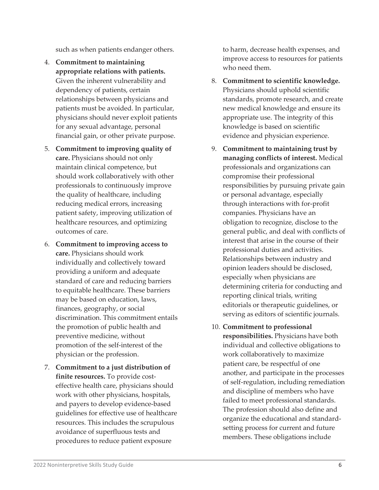such as when patients endanger others.

- 4. **Commitment to maintaining appropriate relations with patients.**  Given the inherent vulnerability and dependency of patients, certain relationships between physicians and patients must be avoided. In particular, physicians should never exploit patients for any sexual advantage, personal financial gain, or other private purpose.
- 5. **Commitment to improving quality of care.** Physicians should not only maintain clinical competence, but should work collaboratively with other professionals to continuously improve the quality of healthcare, including reducing medical errors, increasing patient safety, improving utilization of healthcare resources, and optimizing outcomes of care.
- 6. **Commitment to improving access to care.** Physicians should work individually and collectively toward providing a uniform and adequate standard of care and reducing barriers to equitable healthcare. These barriers may be based on education, laws, finances, geography, or social discrimination. This commitment entails the promotion of public health and preventive medicine, without promotion of the self-interest of the physician or the profession.
- 7. **Commitment to a just distribution of finite resources.** To provide costeffective health care, physicians should work with other physicians, hospitals, and payers to develop evidence-based guidelines for effective use of healthcare resources. This includes the scrupulous avoidance of superfluous tests and procedures to reduce patient exposure

to harm, decrease health expenses, and improve access to resources for patients who need them.

- 8. **Commitment to scientific knowledge.**  Physicians should uphold scientific standards, promote research, and create new medical knowledge and ensure its appropriate use. The integrity of this knowledge is based on scientific evidence and physician experience.
- 9. **Commitment to maintaining trust by managing conflicts of interest.** Medical professionals and organizations can compromise their professional responsibilities by pursuing private gain or personal advantage, especially through interactions with for-profit companies. Physicians have an obligation to recognize, disclose to the general public, and deal with conflicts of interest that arise in the course of their professional duties and activities. Relationships between industry and opinion leaders should be disclosed, especially when physicians are determining criteria for conducting and reporting clinical trials, writing editorials or therapeutic guidelines, or serving as editors of scientific journals.
- 10. **Commitment to professional responsibilities.** Physicians have both individual and collective obligations to work collaboratively to maximize patient care, be respectful of one another, and participate in the processes of self-regulation, including remediation and discipline of members who have failed to meet professional standards. The profession should also define and organize the educational and standardsetting process for current and future members. These obligations include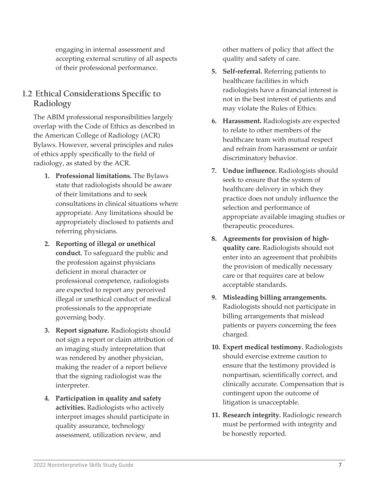engaging in internal assessment and accepting external scrutiny of all aspects of their professional performance.

# **1.2 Ethical Considerations Specific to Radiology**

The ABIM professional responsibilities largely overlap with the Code of Ethics as described in the American College of Radiology (ACR) Bylaws. However, several principles and rules of ethics apply specifically to the field of radiology, as stated by the ACR.

- **1. Professional limitations.** The Bylaws state that radiologists should be aware of their limitations and to seek consultations in clinical situations where appropriate. Any limitations should be appropriately disclosed to patients and referring physicians.
- **2. Reporting of illegal or unethical conduct.** To safeguard the public and the profession against physicians deficient in moral character or professional competence, radiologists are expected to report any perceived illegal or unethical conduct of medical professionals to the appropriate governing body.
- **3. Report signature.** Radiologists should not sign a report or claim attribution of an imaging study interpretation that was rendered by another physician, making the reader of a report believe that the signing radiologist was the interpreter.
- **4. Participation in quality and safety activities.** Radiologists who actively interpret images should participate in quality assurance, technology assessment, utilization review, and

other matters of policy that affect the quality and safety of care.

- **5. Self-referral.** Referring patients to healthcare facilities in which radiologists have a financial interest is not in the best interest of patients and may violate the Rules of Ethics.
- **6. Harassment.** Radiologists are expected to relate to other members of the healthcare team with mutual respect and refrain from harassment or unfair discriminatory behavior.
- **7. Undue influence.** Radiologists should seek to ensure that the system of healthcare delivery in which they practice does not unduly influence the selection and performance of appropriate available imaging studies or therapeutic procedures.
- **8. Agreements for provision of highquality care.** Radiologists should not enter into an agreement that prohibits the provision of medically necessary care or that requires care at below acceptable standards.
- **9. Misleading billing arrangements.**  Radiologists should not participate in billing arrangements that mislead patients or payers concerning the fees charged.
- **10. Expert medical testimony.** Radiologists should exercise extreme caution to ensure that the testimony provided is nonpartisan, scientifically correct, and clinically accurate. Compensation that is contingent upon the outcome of litigation is unacceptable.
- **11. Research integrity.** Radiologic research must be performed with integrity and be honestly reported.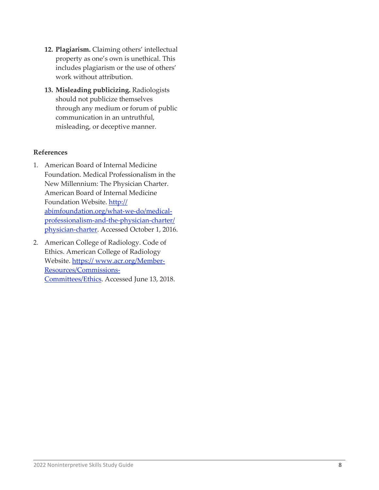- **12. Plagiarism.** Claiming others' intellectual property as one's own is unethical. This includes plagiarism or the use of others' work without attribution.
- **13. Misleading publicizing.** Radiologists should not publicize themselves through any medium or forum of public communication in an untruthful, misleading, or deceptive manner.

#### **References**

- 1. American Board of Internal Medicine Foundation. Medical Professionalism in the New Millennium: The Physician Charter. American Board of Internal Medicine Foundation Website. [http://](http://abimfoundation.org/what-we-do/medical-professionalism-and-the-physician-charter/physician-charter) [abimfoundation.org/what-we-do/medical](http://abimfoundation.org/what-we-do/medical-professionalism-and-the-physician-charter/physician-charter)[professionalism-and-the-physician-charter/](http://abimfoundation.org/what-we-do/medical-professionalism-and-the-physician-charter/physician-charter) [physician-charter.](http://abimfoundation.org/what-we-do/medical-professionalism-and-the-physician-charter/physician-charter) Accessed October 1, 2016.
- 2. American College of Radiology. Code of Ethics. American College of Radiology Website. [https://](https://www.acr.org/Member-Resources/Commissions-Committees/Ethics)[www.acr.org/Member-](https://www.acr.org/Member-Resources/Commissions-Committees/Ethics)[Resources/Commissions-](https://www.acr.org/Member-Resources/Commissions-Committees/Ethics)[Committees/Ethics.](https://www.acr.org/Member-Resources/Commissions-Committees/Ethics) Accessed June 13, 2018.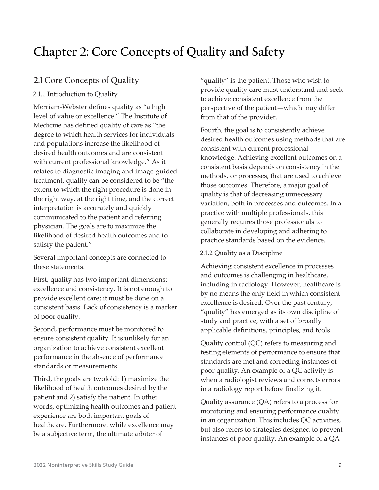# **Chapter 2: Core Concepts of Quality and Safety**

# **2.1 Core Concepts of Quality**

# 2.1.1 Introduction to Quality

Merriam-Webster defines quality as "a high level of value or excellence." The Institute of Medicine has defined quality of care as "the degree to which health services for individuals and populations increase the likelihood of desired health outcomes and are consistent with current professional knowledge." As it relates to diagnostic imaging and image-guided treatment, quality can be considered to be "the extent to which the right procedure is done in the right way, at the right time, and the correct interpretation is accurately and quickly communicated to the patient and referring physician. The goals are to maximize the likelihood of desired health outcomes and to satisfy the patient."

Several important concepts are connected to these statements.

First, quality has two important dimensions: excellence and consistency. It is not enough to provide excellent care; it must be done on a consistent basis. Lack of consistency is a marker of poor quality.

Second, performance must be monitored to ensure consistent quality. It is unlikely for an organization to achieve consistent excellent performance in the absence of performance standards or measurements.

Third, the goals are twofold: 1) maximize the likelihood of health outcomes desired by the patient and 2) satisfy the patient. In other words, optimizing health outcomes and patient experience are both important goals of healthcare. Furthermore, while excellence may be a subjective term, the ultimate arbiter of

"quality" is the patient. Those who wish to provide quality care must understand and seek to achieve consistent excellence from the perspective of the patient—which may differ from that of the provider.

Fourth, the goal is to consistently achieve desired health outcomes using methods that are consistent with current professional knowledge. Achieving excellent outcomes on a consistent basis depends on consistency in the methods, or processes, that are used to achieve those outcomes. Therefore, a major goal of quality is that of decreasing unnecessary variation, both in processes and outcomes. In a practice with multiple professionals, this generally requires those professionals to collaborate in developing and adhering to practice standards based on the evidence.

# 2.1.2 Quality as a Discipline

Achieving consistent excellence in processes and outcomes is challenging in healthcare, including in radiology. However, healthcare is by no means the only field in which consistent excellence is desired. Over the past century, "quality" has emerged as its own discipline of study and practice, with a set of broadly applicable definitions, principles, and tools.

Quality control (QC) refers to measuring and testing elements of performance to ensure that standards are met and correcting instances of poor quality. An example of a QC activity is when a radiologist reviews and corrects errors in a radiology report before finalizing it.

Quality assurance (QA) refers to a process for monitoring and ensuring performance quality in an organization. This includes QC activities, but also refers to strategies designed to prevent instances of poor quality. An example of a QA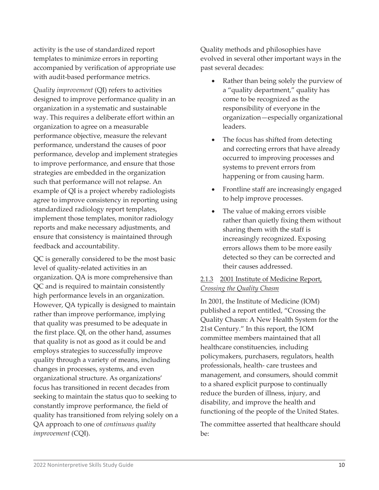activity is the use of standardized report templates to minimize errors in reporting accompanied by verification of appropriate use with audit-based performance metrics.

*Quality improvement* (QI) refers to activities designed to improve performance quality in an organization in a systematic and sustainable way. This requires a deliberate effort within an organization to agree on a measurable performance objective, measure the relevant performance, understand the causes of poor performance, develop and implement strategies to improve performance, and ensure that those strategies are embedded in the organization such that performance will not relapse. An example of QI is a project whereby radiologists agree to improve consistency in reporting using standardized radiology report templates, implement those templates, monitor radiology reports and make necessary adjustments, and ensure that consistency is maintained through feedback and accountability.

QC is generally considered to be the most basic level of quality-related activities in an organization. QA is more comprehensive than QC and is required to maintain consistently high performance levels in an organization. However, QA typically is designed to maintain rather than improve performance, implying that quality was presumed to be adequate in the first place. QI, on the other hand, assumes that quality is not as good as it could be and employs strategies to successfully improve quality through a variety of means, including changes in processes, systems, and even organizational structure. As organizations' focus has transitioned in recent decades from seeking to maintain the status quo to seeking to constantly improve performance, the field of quality has transitioned from relying solely on a QA approach to one of *continuous quality improvement* (CQI).

Quality methods and philosophies have evolved in several other important ways in the past several decades:

- Rather than being solely the purview of a "quality department," quality has come to be recognized as the responsibility of everyone in the organization—especially organizational leaders.
- The focus has shifted from detecting and correcting errors that have already occurred to improving processes and systems to prevent errors from happening or from causing harm.
- Frontline staff are increasingly engaged to help improve processes.
- The value of making errors visible rather than quietly fixing them without sharing them with the staff is increasingly recognized. Exposing errors allows them to be more easily detected so they can be corrected and their causes addressed.

### 2.1.3 2001 Institute of Medicine Report, *Crossing the Quality Chasm*

In 2001, the Institute of Medicine (IOM) published a report entitled, "Crossing the Quality Chasm: A New Health System for the 21st Century." In this report, the IOM committee members maintained that all healthcare constituencies, including policymakers, purchasers, regulators, health professionals, health- care trustees and management, and consumers, should commit to a shared explicit purpose to continually reduce the burden of illness, injury, and disability, and improve the health and functioning of the people of the United States.

The committee asserted that healthcare should be: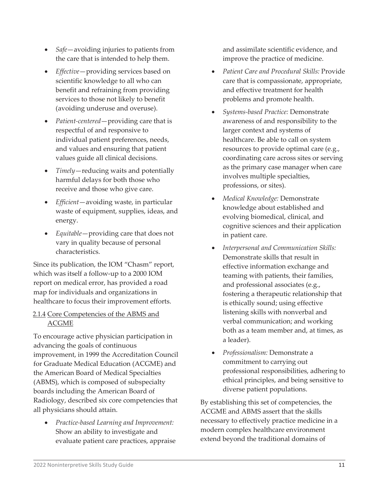- *Safe*—avoiding injuries to patients from the care that is intended to help them.
- *Effective*—providing services based on scientific knowledge to all who can benefit and refraining from providing services to those not likely to benefit (avoiding underuse and overuse).
- *Patient-centered*—providing care that is respectful of and responsive to individual patient preferences, needs, and values and ensuring that patient values guide all clinical decisions.
- *Timely*—reducing waits and potentially harmful delays for both those who receive and those who give care.
- *Efficient*—avoiding waste, in particular waste of equipment, supplies, ideas, and energy.
- *Equitable*—providing care that does not vary in quality because of personal characteristics.

Since its publication, the IOM "Chasm" report, which was itself a follow-up to a 2000 IOM report on medical error, has provided a road map for individuals and organizations in healthcare to focus their improvement efforts.

## 2.1.4 Core Competencies of the ABMS and ACGME

To encourage active physician participation in advancing the goals of continuous improvement, in 1999 the Accreditation Council for Graduate Medical Education (ACGME) and the American Board of Medical Specialties (ABMS), which is composed of subspecialty boards including the American Board of Radiology, described six core competencies that all physicians should attain.

• *Practice-based Learning and Improvement:*  Show an ability to investigate and evaluate patient care practices, appraise and assimilate scientific evidence, and improve the practice of medicine.

- *Patient Care and Procedural Skills:* Provide care that is compassionate, appropriate, and effective treatment for health problems and promote health.
- *Systems-based Practice:* Demonstrate awareness of and responsibility to the larger context and systems of healthcare. Be able to call on system resources to provide optimal care (e.g., coordinating care across sites or serving as the primary case manager when care involves multiple specialties, professions, or sites).
- *Medical Knowledge:* Demonstrate knowledge about established and evolving biomedical, clinical, and cognitive sciences and their application in patient care.
- *Interpersonal and Communication Skills:*  Demonstrate skills that result in effective information exchange and teaming with patients, their families, and professional associates (e.g., fostering a therapeutic relationship that is ethically sound; using effective listening skills with nonverbal and verbal communication; and working both as a team member and, at times, as a leader).
- *Professionalism:* Demonstrate a commitment to carrying out professional responsibilities, adhering to ethical principles, and being sensitive to diverse patient populations.

By establishing this set of competencies, the ACGME and ABMS assert that the skills necessary to effectively practice medicine in a modern complex healthcare environment extend beyond the traditional domains of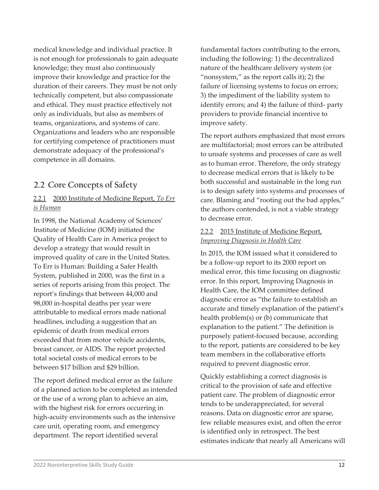medical knowledge and individual practice. It is not enough for professionals to gain adequate knowledge; they must also continuously improve their knowledge and practice for the duration of their careers. They must be not only technically competent, but also compassionate and ethical. They must practice effectively not only as individuals, but also as members of teams, organizations, and systems of care. Organizations and leaders who are responsible for certifying competence of practitioners must demonstrate adequacy of the professional's competence in all domains.

# **2.2 Core Concepts of Safety**

# 2.2.1 2000 Institute of Medicine Report, *To Err is Human*

In 1998, the National Academy of Sciences' Institute of Medicine (IOM) initiated the Quality of Health Care in America project to develop a strategy that would result in improved quality of care in the United States. To Err is Human: Building a Safer Health System, published in 2000, was the first in a series of reports arising from this project. The report's findings that between 44,000 and 98,000 in-hospital deaths per year were attributable to medical errors made national headlines, including a suggestion that an epidemic of death from medical errors exceeded that from motor vehicle accidents, breast cancer, or AIDS. The report projected total societal costs of medical errors to be between \$17 billion and \$29 billion.

The report defined medical error as the failure of a planned action to be completed as intended or the use of a wrong plan to achieve an aim, with the highest risk for errors occurring in high-acuity environments such as the intensive care unit, operating room, and emergency department. The report identified several

fundamental factors contributing to the errors, including the following: 1) the decentralized nature of the healthcare delivery system (or "nonsystem," as the report calls it); 2) the failure of licensing systems to focus on errors; 3) the impediment of the liability system to identify errors; and 4) the failure of third- party providers to provide financial incentive to improve safety.

The report authors emphasized that most errors are multifactorial; most errors can be attributed to unsafe systems and processes of care as well as to human error. Therefore, the only strategy to decrease medical errors that is likely to be both successful and sustainable in the long run is to design safety into systems and processes of care. Blaming and "rooting out the bad apples," the authors contended, is not a viable strategy to decrease error.

## 2.2.2 2015 Institute of Medicine Report, *Improving Diagnosis in Health Care*

In 2015, the IOM issued what it considered to be a follow-up report to its 2000 report on medical error, this time focusing on diagnostic error. In this report, Improving Diagnosis in Health Care, the IOM committee defined diagnostic error as "the failure to establish an accurate and timely explanation of the patient's health problem(s) or (b) communicate that explanation to the patient." The definition is purposely patient-focused because, according to the report, patients are considered to be key team members in the collaborative efforts required to prevent diagnostic error.

Quickly establishing a correct diagnosis is critical to the provision of safe and effective patient care. The problem of diagnostic error tends to be underappreciated, for several reasons. Data on diagnostic error are sparse, few reliable measures exist, and often the error is identified only in retrospect. The best estimates indicate that nearly all Americans will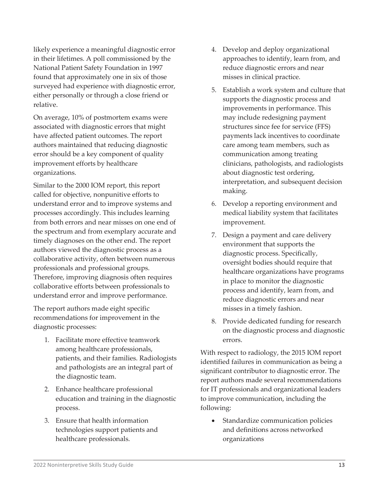likely experience a meaningful diagnostic error in their lifetimes. A poll commissioned by the National Patient Safety Foundation in 1997 found that approximately one in six of those surveyed had experience with diagnostic error, either personally or through a close friend or relative.

On average, 10% of postmortem exams were associated with diagnostic errors that might have affected patient outcomes. The report authors maintained that reducing diagnostic error should be a key component of quality improvement efforts by healthcare organizations.

Similar to the 2000 IOM report, this report called for objective, nonpunitive efforts to understand error and to improve systems and processes accordingly. This includes learning from both errors and near misses on one end of the spectrum and from exemplary accurate and timely diagnoses on the other end. The report authors viewed the diagnostic process as a collaborative activity, often between numerous professionals and professional groups. Therefore, improving diagnosis often requires collaborative efforts between professionals to understand error and improve performance.

The report authors made eight specific recommendations for improvement in the diagnostic processes:

- 1. Facilitate more effective teamwork among healthcare professionals, patients, and their families. Radiologists and pathologists are an integral part of the diagnostic team.
- 2. Enhance healthcare professional education and training in the diagnostic process.
- 3. Ensure that health information technologies support patients and healthcare professionals.
- 4. Develop and deploy organizational approaches to identify, learn from, and reduce diagnostic errors and near misses in clinical practice.
- 5. Establish a work system and culture that supports the diagnostic process and improvements in performance. This may include redesigning payment structures since fee for service (FFS) payments lack incentives to coordinate care among team members, such as communication among treating clinicians, pathologists, and radiologists about diagnostic test ordering, interpretation, and subsequent decision making.
- 6. Develop a reporting environment and medical liability system that facilitates improvement.
- 7. Design a payment and care delivery environment that supports the diagnostic process. Specifically, oversight bodies should require that healthcare organizations have programs in place to monitor the diagnostic process and identify, learn from, and reduce diagnostic errors and near misses in a timely fashion.
- 8. Provide dedicated funding for research on the diagnostic process and diagnostic errors.

With respect to radiology, the 2015 IOM report identified failures in communication as being a significant contributor to diagnostic error. The report authors made several recommendations for IT professionals and organizational leaders to improve communication, including the following:

Standardize communication policies and definitions across networked organizations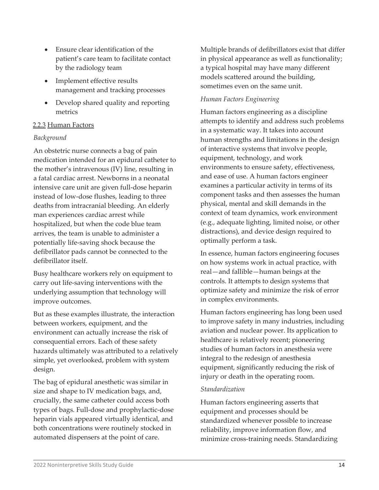- Ensure clear identification of the patient's care team to facilitate contact by the radiology team
- Implement effective results management and tracking processes
- Develop shared quality and reporting metrics

## 2.2.3 Human Factors

### *Background*

An obstetric nurse connects a bag of pain medication intended for an epidural catheter to the mother's intravenous (IV) line, resulting in a fatal cardiac arrest. Newborns in a neonatal intensive care unit are given full-dose heparin instead of low-dose flushes, leading to three deaths from intracranial bleeding. An elderly man experiences cardiac arrest while hospitalized, but when the code blue team arrives, the team is unable to administer a potentially life-saving shock because the defibrillator pads cannot be connected to the defibrillator itself.

Busy healthcare workers rely on equipment to carry out life-saving interventions with the underlying assumption that technology will improve outcomes.

But as these examples illustrate, the interaction between workers, equipment, and the environment can actually increase the risk of consequential errors. Each of these safety hazards ultimately was attributed to a relatively simple, yet overlooked, problem with system design.

The bag of epidural anesthetic was similar in size and shape to IV medication bags, and, crucially, the same catheter could access both types of bags. Full-dose and prophylactic-dose heparin vials appeared virtually identical, and both concentrations were routinely stocked in automated dispensers at the point of care.

Multiple brands of defibrillators exist that differ in physical appearance as well as functionality; a typical hospital may have many different models scattered around the building, sometimes even on the same unit.

# *Human Factors Engineering*

Human factors engineering as a discipline attempts to identify and address such problems in a systematic way. It takes into account human strengths and limitations in the design of interactive systems that involve people, equipment, technology, and work environments to ensure safety, effectiveness, and ease of use. A human factors engineer examines a particular activity in terms of its component tasks and then assesses the human physical, mental and skill demands in the context of team dynamics, work environment (e.g., adequate lighting, limited noise, or other distractions), and device design required to optimally perform a task.

In essence, human factors engineering focuses on how systems work in actual practice, with real—and fallible—human beings at the controls. It attempts to design systems that optimize safety and minimize the risk of error in complex environments.

Human factors engineering has long been used to improve safety in many industries, including aviation and nuclear power. Its application to healthcare is relatively recent; pioneering studies of human factors in anesthesia were integral to the redesign of anesthesia equipment, significantly reducing the risk of injury or death in the operating room.

### *Standardization*

Human factors engineering asserts that equipment and processes should be standardized whenever possible to increase reliability, improve information flow, and minimize cross-training needs. Standardizing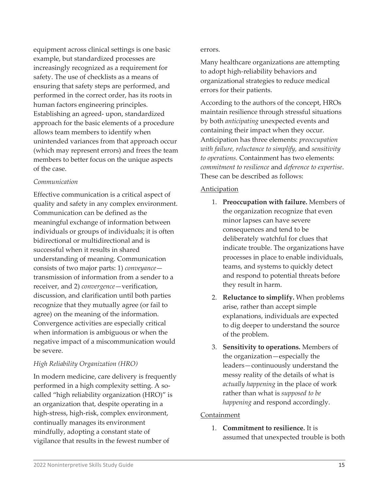equipment across clinical settings is one basic example, but standardized processes are increasingly recognized as a requirement for safety. The use of checklists as a means of ensuring that safety steps are performed, and performed in the correct order, has its roots in human factors engineering principles. Establishing an agreed- upon, standardized approach for the basic elements of a procedure allows team members to identify when unintended variances from that approach occur (which may represent errors) and frees the team members to better focus on the unique aspects of the case.

#### *Communication*

Effective communication is a critical aspect of quality and safety in any complex environment. Communication can be defined as the meaningful exchange of information between individuals or groups of individuals; it is often bidirectional or multidirectional and is successful when it results in shared understanding of meaning. Communication consists of two major parts: 1) *conveyance* transmission of information from a sender to a receiver, and 2) *convergence*—verification, discussion, and clarification until both parties recognize that they mutually agree (or fail to agree) on the meaning of the information. Convergence activities are especially critical when information is ambiguous or when the negative impact of a miscommunication would be severe.

### *High Reliability Organization (HRO)*

In modern medicine, care delivery is frequently performed in a high complexity setting. A socalled "high reliability organization (HRO)" is an organization that, despite operating in a high-stress, high-risk, complex environment, continually manages its environment mindfully, adopting a constant state of vigilance that results in the fewest number of

#### errors.

Many healthcare organizations are attempting to adopt high-reliability behaviors and organizational strategies to reduce medical errors for their patients.

According to the authors of the concept, HROs maintain resilience through stressful situations by both *anticipating* unexpected events and containing their impact when they occur. Anticipation has three elements: *preoccupation with failure, reluctance to simplify,* and *sensitivity to operations.* Containment has two elements: *commitment to resilience* and *deference to expertise*. These can be described as follows:

### Anticipation

- 1. **Preoccupation with failure.** Members of the organization recognize that even minor lapses can have severe consequences and tend to be deliberately watchful for clues that indicate trouble. The organizations have processes in place to enable individuals, teams, and systems to quickly detect and respond to potential threats before they result in harm.
- 2. **Reluctance to simplify.** When problems arise, rather than accept simple explanations, individuals are expected to dig deeper to understand the source of the problem.
- 3. **Sensitivity to operations.** Members of the organization—especially the leaders—continuously understand the messy reality of the details of what is *actually happening* in the place of work rather than what is *supposed to be happening* and respond accordingly.

### Containment

1. **Commitment to resilience.** It is assumed that unexpected trouble is both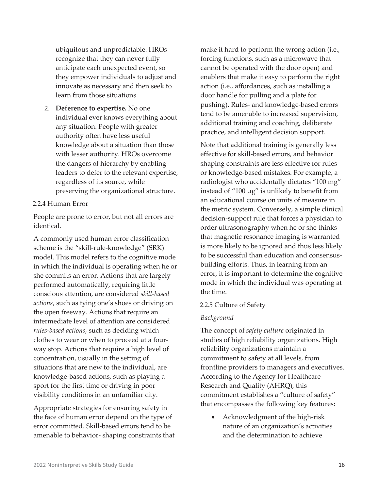ubiquitous and unpredictable. HROs recognize that they can never fully anticipate each unexpected event, so they empower individuals to adjust and innovate as necessary and then seek to learn from those situations.

2. **Deference to expertise.** No one individual ever knows everything about any situation. People with greater authority often have less useful knowledge about a situation than those with lesser authority. HROs overcome the dangers of hierarchy by enabling leaders to defer to the relevant expertise, regardless of its source, while preserving the organizational structure.

#### 2.2.4 Human Error

People are prone to error, but not all errors are identical.

A commonly used human error classification scheme is the "skill-rule-knowledge" (SRK) model. This model refers to the cognitive mode in which the individual is operating when he or she commits an error. Actions that are largely performed automatically, requiring little conscious attention, are considered *skill-based actions*, such as tying one's shoes or driving on the open freeway. Actions that require an intermediate level of attention are considered *rules-based actions*, such as deciding which clothes to wear or when to proceed at a fourway stop. Actions that require a high level of concentration, usually in the setting of situations that are new to the individual, are knowledge-based actions, such as playing a sport for the first time or driving in poor visibility conditions in an unfamiliar city.

Appropriate strategies for ensuring safety in the face of human error depend on the type of error committed. Skill-based errors tend to be amenable to behavior- shaping constraints that make it hard to perform the wrong action (i.e., forcing functions, such as a microwave that cannot be operated with the door open) and enablers that make it easy to perform the right action (i.e., affordances, such as installing a door handle for pulling and a plate for pushing). Rules- and knowledge-based errors tend to be amenable to increased supervision, additional training and coaching, deliberate practice, and intelligent decision support.

Note that additional training is generally less effective for skill-based errors, and behavior shaping constraints are less effective for rulesor knowledge-based mistakes. For example, a radiologist who accidentally dictates "100 mg" instead of "100 μg" is unlikely to benefit from an educational course on units of measure in the metric system. Conversely, a simple clinical decision-support rule that forces a physician to order ultrasonography when he or she thinks that magnetic resonance imaging is warranted is more likely to be ignored and thus less likely to be successful than education and consensusbuilding efforts. Thus, in learning from an error, it is important to determine the cognitive mode in which the individual was operating at the time.

#### 2.2.5 Culture of Safety

#### *Background*

The concept of *safety culture* originated in studies of high reliability organizations. High reliability organizations maintain a commitment to safety at all levels, from frontline providers to managers and executives. According to the Agency for Healthcare Research and Quality (AHRQ), this commitment establishes a "culture of safety" that encompasses the following key features:

• Acknowledgment of the high-risk nature of an organization's activities and the determination to achieve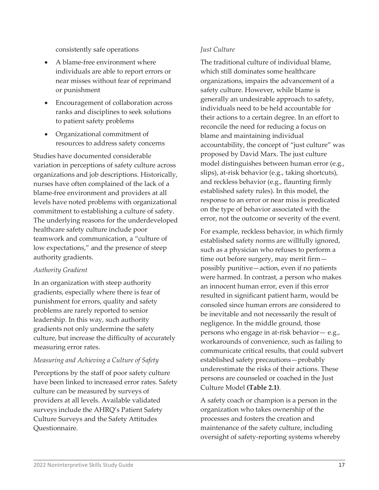consistently safe operations

- A blame-free environment where individuals are able to report errors or near misses without fear of reprimand or punishment
- Encouragement of collaboration across ranks and disciplines to seek solutions to patient safety problems
- Organizational commitment of resources to address safety concerns

Studies have documented considerable variation in perceptions of safety culture across organizations and job descriptions. Historically, nurses have often complained of the lack of a blame-free environment and providers at all levels have noted problems with organizational commitment to establishing a culture of safety. The underlying reasons for the underdeveloped healthcare safety culture include poor teamwork and communication, a "culture of low expectations," and the presence of steep authority gradients.

#### *Authority Gradient*

In an organization with steep authority gradients, especially where there is fear of punishment for errors, quality and safety problems are rarely reported to senior leadership. In this way, such authority gradients not only undermine the safety culture, but increase the difficulty of accurately measuring error rates.

### *Measuring and Achieving a Culture of Safety*

Perceptions by the staff of poor safety culture have been linked to increased error rates. Safety culture can be measured by surveys of providers at all levels. Available validated surveys include the AHRQ's Patient Safety Culture Surveys and the Safety Attitudes Questionnaire.

#### *Just Culture*

The traditional culture of individual blame, which still dominates some healthcare organizations, impairs the advancement of a safety culture. However, while blame is generally an undesirable approach to safety, individuals need to be held accountable for their actions to a certain degree. In an effort to reconcile the need for reducing a focus on blame and maintaining individual accountability, the concept of "just culture" was proposed by David Marx. The just culture model distinguishes between human error (e.g., slips), at-risk behavior (e.g., taking shortcuts), and reckless behavior (e.g., flaunting firmly established safety rules). In this model, the response to an error or near miss is predicated on the type of behavior associated with the error, not the outcome or severity of the event.

For example, reckless behavior, in which firmly established safety norms are willfully ignored, such as a physician who refuses to perform a time out before surgery, may merit firm possibly punitive—action, even if no patients were harmed. In contrast, a person who makes an innocent human error, even if this error resulted in significant patient harm, would be consoled since human errors are considered to be inevitable and not necessarily the result of negligence. In the middle ground, those persons who engage in at-risk behavior— e.g., workarounds of convenience, such as failing to communicate critical results, that could subvert established safety precautions—probably underestimate the risks of their actions. These persons are counseled or coached in the Just Culture Model **(Table 2.1)**.

A safety coach or champion is a person in the organization who takes ownership of the processes and fosters the creation and maintenance of the safety culture, including oversight of safety-reporting systems whereby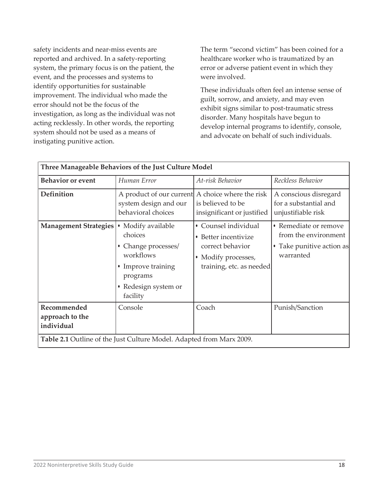safety incidents and near-miss events are reported and archived. In a safety-reporting system, the primary focus is on the patient, the event, and the processes and systems to identify opportunities for sustainable improvement. The individual who made the error should not be the focus of the investigation, as long as the individual was not acting recklessly. In other words, the reporting system should not be used as a means of instigating punitive action.

The term "second victim" has been coined for a healthcare worker who is traumatized by an error or adverse patient event in which they were involved.

These individuals often feel an intense sense of guilt, sorrow, and anxiety, and may even exhibit signs similar to post-traumatic stress disorder. Many hospitals have begun to develop internal programs to identify, console, and advocate on behalf of such individuals.

| Three Manageable Behaviors of the Just Culture Model                 |                                                                                                                                         |                                                                                                                   |                                                                                         |  |  |
|----------------------------------------------------------------------|-----------------------------------------------------------------------------------------------------------------------------------------|-------------------------------------------------------------------------------------------------------------------|-----------------------------------------------------------------------------------------|--|--|
| <b>Behavior or event</b>                                             | Human Error                                                                                                                             | At-risk Behavior                                                                                                  | Reckless Behavior                                                                       |  |  |
| Definition                                                           | A product of our current A choice where the risk<br>system design and our<br>behavioral choices                                         | is believed to be<br>insignificant or justified                                                                   | A conscious disregard<br>for a substantial and<br>unjustifiable risk                    |  |  |
| <b>Management Strategies</b>                                         | • Modify available<br>choices<br>• Change processes/<br>workflows<br>• Improve training<br>programs<br>• Redesign system or<br>facility | • Counsel individual<br>Better incentivize<br>correct behavior<br>• Modify processes,<br>training, etc. as needed | • Remediate or remove<br>from the environment<br>• Take punitive action as<br>warranted |  |  |
| Recommended<br>approach to the<br>individual                         | Console                                                                                                                                 | Coach                                                                                                             | Punish/Sanction                                                                         |  |  |
| Table 2.1 Outline of the Just Culture Model. Adapted from Marx 2009. |                                                                                                                                         |                                                                                                                   |                                                                                         |  |  |

| 2022 Noninterpretive Skills Study Guide |  |
|-----------------------------------------|--|
|-----------------------------------------|--|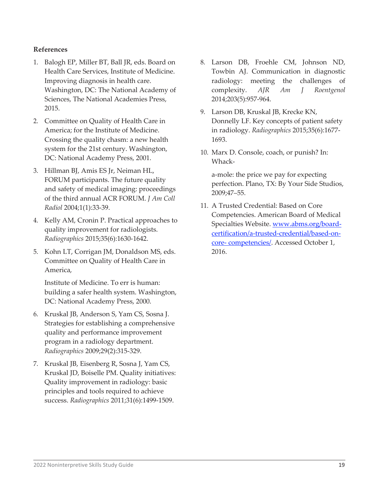#### **References**

- 1. Balogh EP, Miller BT, Ball JR, eds. Board on Health Care Services, Institute of Medicine. Improving diagnosis in health care. Washington, DC: The National Academy of Sciences, The National Academies Press, 2015.
- 2. Committee on Quality of Health Care in America; for the Institute of Medicine. Crossing the quality chasm: a new health system for the 21st century. Washington, DC: National Academy Press, 2001.
- 3. Hillman BJ, Amis ES Jr, Neiman HL, FORUM participants. The future quality and safety of medical imaging: proceedings of the third annual ACR FORUM. *J Am Coll Radiol* 2004;1(1):33-39.
- 4. Kelly AM, Cronin P. Practical approaches to quality improvement for radiologists. *Radiographics* 2015;35(6):1630-1642.
- 5. Kohn LT, Corrigan JM, Donaldson MS, eds. Committee on Quality of Health Care in America,

Institute of Medicine. To err is human: building a safer health system. Washington, DC: National Academy Press, 2000.

- 6. Kruskal JB, Anderson S, Yam CS, Sosna J. Strategies for establishing a comprehensive quality and performance improvement program in a radiology department. *Radiographics* 2009;29(2):315-329.
- 7. Kruskal JB, Eisenberg R, Sosna J, Yam CS, Kruskal JD, Boiselle PM. Quality initiatives: Quality improvement in radiology: basic principles and tools required to achieve success. *Radiographics* 2011;31(6):1499-1509.
- 8. Larson DB, Froehle CM, Johnson ND, Towbin AJ. Communication in diagnostic radiology: meeting the challenges of complexity. *AJR Am J Roentgenol*  2014;203(5):957-964.
- 9. Larson DB, Kruskal JB, Krecke KN, Donnelly LF. Key concepts of patient safety in radiology. *Radiographics* 2015;35(6):1677- 1693.
- 10. Marx D. Console, coach, or punish? In: Whack-

a-mole: the price we pay for expecting perfection. Plano, TX: By Your Side Studios, 2009;47–55.

11. A Trusted Credential: Based on Core Competencies. American Board of Medical Specialties Website. [www.abms.org/board](http://www.abms.org/board-certification/a-trusted-credential/based-on-core-competencies/)[certification/a-trusted-credential/based-on](http://www.abms.org/board-certification/a-trusted-credential/based-on-core-competencies/)[core-](http://www.abms.org/board-certification/a-trusted-credential/based-on-core-competencies/) [competencies/.](http://www.abms.org/board-certification/a-trusted-credential/based-on-core-competencies/) Accessed October 1, 2016.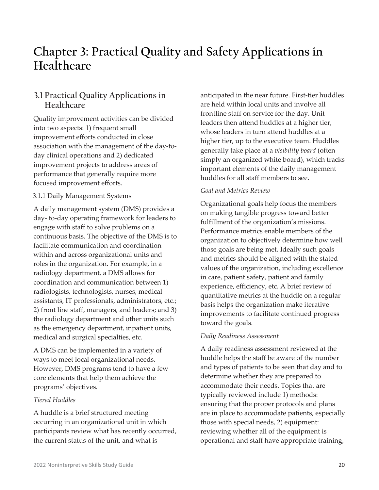# **Chapter 3: Practical Quality and Safety Applications in Healthcare**

# **3.1 Practical Quality Applications in Healthcare**

Quality improvement activities can be divided into two aspects: 1) frequent small improvement efforts conducted in close association with the management of the day-today clinical operations and 2) dedicated improvement projects to address areas of performance that generally require more focused improvement efforts.

## 3.1.1 Daily Management Systems

A daily management system (DMS) provides a day- to-day operating framework for leaders to engage with staff to solve problems on a continuous basis. The objective of the DMS is to facilitate communication and coordination within and across organizational units and roles in the organization. For example, in a radiology department, a DMS allows for coordination and communication between 1) radiologists, technologists, nurses, medical assistants, IT professionals, administrators, etc.; 2) front line staff, managers, and leaders; and 3) the radiology department and other units such as the emergency department, inpatient units, medical and surgical specialties, etc.

A DMS can be implemented in a variety of ways to meet local organizational needs. However, DMS programs tend to have a few core elements that help them achieve the programs' objectives.

### *Tiered Huddles*

A huddle is a brief structured meeting occurring in an organizational unit in which participants review what has recently occurred, the current status of the unit, and what is

anticipated in the near future. First-tier huddles are held within local units and involve all frontline staff on service for the day. Unit leaders then attend huddles at a higher tier, whose leaders in turn attend huddles at a higher tier, up to the executive team. Huddles generally take place at a *visibility board* (often simply an organized white board), which tracks important elements of the daily management huddles for all staff members to see.

## *Goal and Metrics Review*

Organizational goals help focus the members on making tangible progress toward better fulfillment of the organization's missions. Performance metrics enable members of the organization to objectively determine how well those goals are being met. Ideally such goals and metrics should be aligned with the stated values of the organization, including excellence in care, patient safety, patient and family experience, efficiency, etc. A brief review of quantitative metrics at the huddle on a regular basis helps the organization make iterative improvements to facilitate continued progress toward the goals.

### *Daily Readiness Assessment*

A daily readiness assessment reviewed at the huddle helps the staff be aware of the number and types of patients to be seen that day and to determine whether they are prepared to accommodate their needs. Topics that are typically reviewed include 1) methods: ensuring that the proper protocols and plans are in place to accommodate patients, especially those with special needs, 2) equipment: reviewing whether all of the equipment is operational and staff have appropriate training,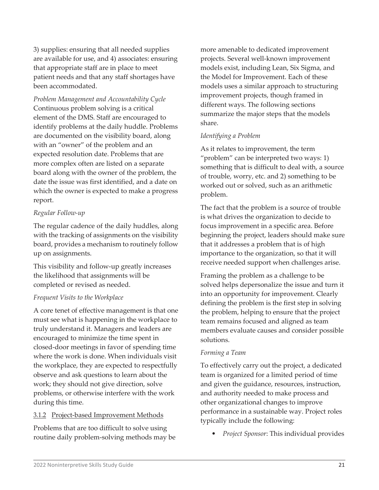3) supplies: ensuring that all needed supplies are available for use, and 4) associates: ensuring that appropriate staff are in place to meet patient needs and that any staff shortages have been accommodated.

*Problem Management and Accountability Cycle*  Continuous problem solving is a critical element of the DMS. Staff are encouraged to identify problems at the daily huddle. Problems are documented on the visibility board, along with an "owner" of the problem and an expected resolution date. Problems that are more complex often are listed on a separate board along with the owner of the problem, the date the issue was first identified, and a date on which the owner is expected to make a progress report.

## *Regular Follow-up*

The regular cadence of the daily huddles, along with the tracking of assignments on the visibility board, provides a mechanism to routinely follow up on assignments.

This visibility and follow-up greatly increases the likelihood that assignments will be completed or revised as needed.

## *Frequent Visits to the Workplace*

A core tenet of effective management is that one must see what is happening in the workplace to truly understand it. Managers and leaders are encouraged to minimize the time spent in closed-door meetings in favor of spending time where the work is done. When individuals visit the workplace, they are expected to respectfully observe and ask questions to learn about the work; they should not give direction, solve problems, or otherwise interfere with the work during this time.

## 3.1.2 Project-based Improvement Methods

Problems that are too difficult to solve using routine daily problem-solving methods may be more amenable to dedicated improvement projects. Several well-known improvement models exist, including Lean, Six Sigma, and the Model for Improvement. Each of these models uses a similar approach to structuring improvement projects, though framed in different ways. The following sections summarize the major steps that the models share.

## *Identifying a Problem*

As it relates to improvement, the term "problem" can be interpreted two ways: 1) something that is difficult to deal with, a source of trouble, worry, etc. and 2) something to be worked out or solved, such as an arithmetic problem.

The fact that the problem is a source of trouble is what drives the organization to decide to focus improvement in a specific area. Before beginning the project, leaders should make sure that it addresses a problem that is of high importance to the organization, so that it will receive needed support when challenges arise.

Framing the problem as a challenge to be solved helps depersonalize the issue and turn it into an opportunity for improvement. Clearly defining the problem is the first step in solving the problem, helping to ensure that the project team remains focused and aligned as team members evaluate causes and consider possible solutions.

## *Forming a Team*

To effectively carry out the project, a dedicated team is organized for a limited period of time and given the guidance, resources, instruction, and authority needed to make process and other organizational changes to improve performance in a sustainable way. Project roles typically include the following:

• *Project Sponsor*: This individual provides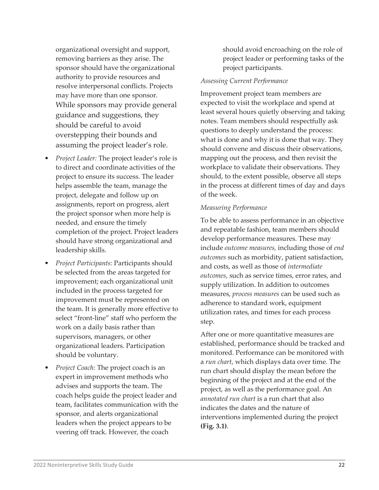organizational oversight and support, removing barriers as they arise. The sponsor should have the organizational authority to provide resources and resolve interpersonal conflicts. Projects may have more than one sponsor. While sponsors may provide general guidance and suggestions, they should be careful to avoid overstepping their bounds and assuming the project leader's role.

- *Project Leader:* The project leader's role is to direct and coordinate activities of the project to ensure its success. The leader helps assemble the team, manage the project, delegate and follow up on assignments, report on progress, alert the project sponsor when more help is needed, and ensure the timely completion of the project. Project leaders should have strong organizational and leadership skills.
- *Project Participants:* Participants should be selected from the areas targeted for improvement; each organizational unit included in the process targeted for improvement must be represented on the team. It is generally more effective to select "front-line" staff who perform the work on a daily basis rather than supervisors, managers, or other organizational leaders. Participation should be voluntary.
- *Project Coach:* The project coach is an expert in improvement methods who advises and supports the team. The coach helps guide the project leader and team, facilitates communication with the sponsor, and alerts organizational leaders when the project appears to be veering off track. However, the coach

should avoid encroaching on the role of project leader or performing tasks of the project participants.

#### *Assessing Current Performance*

Improvement project team members are expected to visit the workplace and spend at least several hours quietly observing and taking notes. Team members should respectfully ask questions to deeply understand the process: what is done and why it is done that way. They should convene and discuss their observations, mapping out the process, and then revisit the workplace to validate their observations. They should, to the extent possible, observe all steps in the process at different times of day and days of the week.

#### *Measuring Performance*

To be able to assess performance in an objective and repeatable fashion, team members should develop performance measures. These may include *outcome measures,* including those of *end outcomes* such as morbidity, patient satisfaction, and costs, as well as those of *intermediate outcomes*, such as service times, error rates, and supply utilization. In addition to outcomes measures, *process measures* can be used such as adherence to standard work, equipment utilization rates, and times for each process step.

After one or more quantitative measures are established, performance should be tracked and monitored. Performance can be monitored with a *run chart*, which displays data over time. The run chart should display the mean before the beginning of the project and at the end of the project, as well as the performance goal. An *annotated run chart* is a run chart that also indicates the dates and the nature of interventions implemented during the project **(Fig. 3.1)**.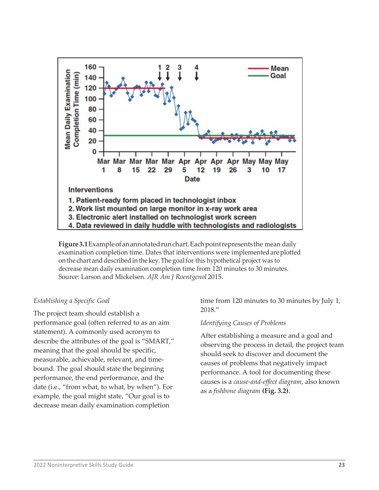

**Figure3.1**Exampleofanannotatedrunchart.Eachpointrepresentsthe mean daily examination completion time. Dates that interventions were implemented are plotted on the chart and described in the key. The goal for this hypothetical project was to decrease mean daily examination completion time from 120 minutes to 30 minutes. Source: Larson and Mickelsen. *AJR Am J Roentgenol* 2015.

#### *Establishing a Specific Goal*

The project team should establish a performance goal (often referred to as an aim statement). A commonly used acronym to describe the attributes of the goal is "SMART," meaning that the goal should be specific, measurable, achievable, relevant, and timebound. The goal should state the beginning performance, the end performance, and the date (i.e., "from what, to what, by when"). For example, the goal might state, "Our goal is to decrease mean daily examination completion

time from 120 minutes to 30 minutes by July 1, 2018."

### *Identifying Causes of Problems*

After establishing a measure and a goal and observing the process in detail, the project team should seek to discover and document the causes of problems that negatively impact performance. A tool for documenting these causes is a *cause-and-effect diagram*, also known as a *fishbone diagram* **(Fig. 3.2)**.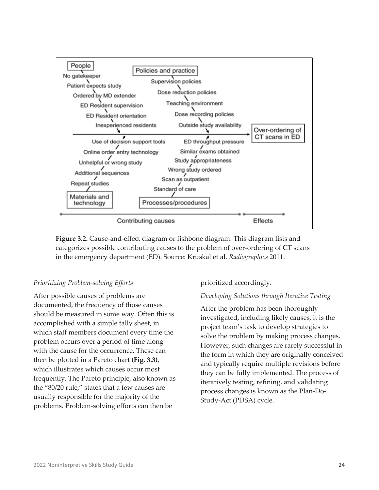

**Figure 3.2.** Cause-and-effect diagram or fishbone diagram. This diagram lists and categorizes possible contributing causes to the problem of over-ordering of CT scans in the emergency department (ED). Source: Kruskal et al. *Radiographics* 2011.

## *Prioritizing Problem-solving Efforts*

After possible causes of problems are documented, the frequency of those causes should be measured in some way. Often this is accomplished with a simple tally sheet, in which staff members document every time the problem occurs over a period of time along with the cause for the occurrence. These can then be plotted in a Pareto chart **(Fig. 3.3)**, which illustrates which causes occur most frequently. The Pareto principle, also known as the "80/20 rule," states that a few causes are usually responsible for the majority of the problems. Problem-solving efforts can then be

### prioritized accordingly.

### *Developing Solutions through Iterative Testing*

After the problem has been thoroughly investigated, including likely causes, it is the project team's task to develop strategies to solve the problem by making process changes. However, such changes are rarely successful in the form in which they are originally conceived and typically require multiple revisions before they can be fully implemented. The process of iteratively testing, refining, and validating process changes is known as the Plan-Do-Study-Act (PDSA) cycle.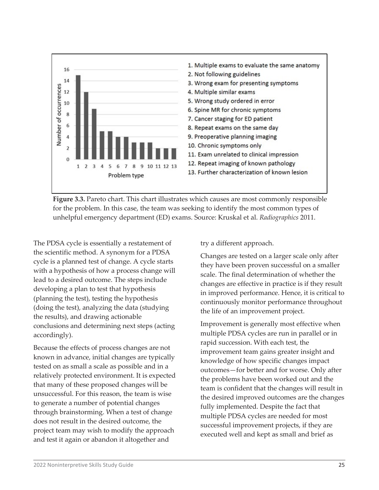

**Figure 3.3.** Pareto chart. This chart illustrates which causes are most commonly responsible for the problem. In this case, the team was seeking to identify the most common types of unhelpful emergency department (ED) exams. Source: Kruskal et al. *Radiographics* 2011.

The PDSA cycle is essentially a restatement of the scientific method. A synonym for a PDSA cycle is a planned test of change. A cycle starts with a hypothesis of how a process change will lead to a desired outcome. The steps include developing a plan to test that hypothesis (planning the test), testing the hypothesis (doing the test), analyzing the data (studying the results), and drawing actionable conclusions and determining next steps (acting accordingly).

Because the effects of process changes are not known in advance, initial changes are typically tested on as small a scale as possible and in a relatively protected environment. It is expected that many of these proposed changes will be unsuccessful. For this reason, the team is wise to generate a number of potential changes through brainstorming. When a test of change does not result in the desired outcome, the project team may wish to modify the approach and test it again or abandon it altogether and

try a different approach.

Changes are tested on a larger scale only after they have been proven successful on a smaller scale. The final determination of whether the changes are effective in practice is if they result in improved performance. Hence, it is critical to continuously monitor performance throughout the life of an improvement project.

Improvement is generally most effective when multiple PDSA cycles are run in parallel or in rapid succession. With each test, the improvement team gains greater insight and knowledge of how specific changes impact outcomes—for better and for worse. Only after the problems have been worked out and the team is confident that the changes will result in the desired improved outcomes are the changes fully implemented. Despite the fact that multiple PDSA cycles are needed for most successful improvement projects, if they are executed well and kept as small and brief as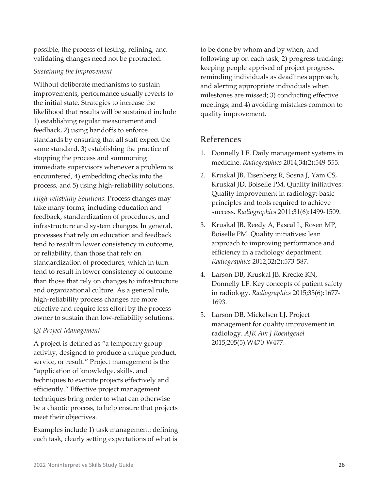possible, the process of testing, refining, and validating changes need not be protracted.

#### *Sustaining the Improvement*

Without deliberate mechanisms to sustain improvements, performance usually reverts to the initial state. Strategies to increase the likelihood that results will be sustained include 1) establishing regular measurement and feedback, 2) using handoffs to enforce standards by ensuring that all staff expect the same standard, 3) establishing the practice of stopping the process and summoning immediate supervisors whenever a problem is encountered, 4) embedding checks into the process, and 5) using high-reliability solutions.

*High-reliability Solutions*: Process changes may take many forms, including education and feedback, standardization of procedures, and infrastructure and system changes. In general, processes that rely on education and feedback tend to result in lower consistency in outcome, or reliability, than those that rely on standardization of procedures, which in turn tend to result in lower consistency of outcome than those that rely on changes to infrastructure and organizational culture. As a general rule, high-reliability process changes are more effective and require less effort by the process owner to sustain than low-reliability solutions.

### *QI Project Management*

A project is defined as "a temporary group activity, designed to produce a unique product, service, or result." Project management is the "application of knowledge, skills, and techniques to execute projects effectively and efficiently." Effective project management techniques bring order to what can otherwise be a chaotic process, to help ensure that projects meet their objectives.

Examples include 1) task management: defining each task, clearly setting expectations of what is

to be done by whom and by when, and following up on each task; 2) progress tracking: keeping people apprised of project progress, reminding individuals as deadlines approach, and alerting appropriate individuals when milestones are missed; 3) conducting effective meetings; and 4) avoiding mistakes common to quality improvement.

# **References**

- 1. Donnelly LF. Daily management systems in medicine. *Radiographics* 2014;34(2):549-555.
- 2. Kruskal JB, Eisenberg R, Sosna J, Yam CS, Kruskal JD, Boiselle PM. Quality initiatives: Quality improvement in radiology: basic principles and tools required to achieve success. *Radiographics* 2011;31(6):1499-1509.
- 3. Kruskal JB, Reedy A, Pascal L, Rosen MP, Boiselle PM. Quality initiatives: lean approach to improving performance and efficiency in a radiology department. *Radiographics* 2012;32(2):573-587.
- 4. Larson DB, Kruskal JB, Krecke KN, Donnelly LF. Key concepts of patient safety in radiology. *Radiographics* 2015;35(6):1677- 1693.
- 5. Larson DB, Mickelsen LJ. Project management for quality improvement in radiology. *AJR Am J Roentgenol*  2015;205(5):W470-W477.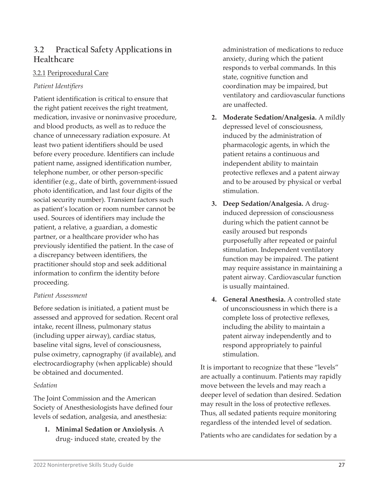# **3.2 Practical Safety Applications in Healthcare**

## 3.2.1 Periprocedural Care

## *Patient Identifiers*

Patient identification is critical to ensure that the right patient receives the right treatment, medication, invasive or noninvasive procedure, and blood products, as well as to reduce the chance of unnecessary radiation exposure. At least two patient identifiers should be used before every procedure. Identifiers can include patient name, assigned identification number, telephone number, or other person-specific identifier (e.g., date of birth, government-issued photo identification, and last four digits of the social security number). Transient factors such as patient's location or room number cannot be used. Sources of identifiers may include the patient, a relative, a guardian, a domestic partner, or a healthcare provider who has previously identified the patient. In the case of a discrepancy between identifiers, the practitioner should stop and seek additional information to confirm the identity before proceeding.

### *Patient Assessment*

Before sedation is initiated, a patient must be assessed and approved for sedation. Recent oral intake, recent illness, pulmonary status (including upper airway), cardiac status, baseline vital signs, level of consciousness, pulse oximetry, capnography (if available), and electrocardiography (when applicable) should be obtained and documented.

### *Sedation*

The Joint Commission and the American Society of Anesthesiologists have defined four levels of sedation, analgesia, and anesthesia:

**1. Minimal Sedation or Anxiolysis**. A drug- induced state, created by the

administration of medications to reduce anxiety, during which the patient responds to verbal commands. In this state, cognitive function and coordination may be impaired, but ventilatory and cardiovascular functions are unaffected.

- **2. Moderate Sedation/Analgesia.** A mildly depressed level of consciousness, induced by the administration of pharmacologic agents, in which the patient retains a continuous and independent ability to maintain protective reflexes and a patent airway and to be aroused by physical or verbal stimulation.
- **3. Deep Sedation/Analgesia.** A druginduced depression of consciousness during which the patient cannot be easily aroused but responds purposefully after repeated or painful stimulation. Independent ventilatory function may be impaired. The patient may require assistance in maintaining a patent airway. Cardiovascular function is usually maintained.
- **4. General Anesthesia.** A controlled state of unconsciousness in which there is a complete loss of protective reflexes, including the ability to maintain a patent airway independently and to respond appropriately to painful stimulation.

It is important to recognize that these "levels" are actually a continuum. Patients may rapidly move between the levels and may reach a deeper level of sedation than desired. Sedation may result in the loss of protective reflexes. Thus, all sedated patients require monitoring regardless of the intended level of sedation.

Patients who are candidates for sedation by a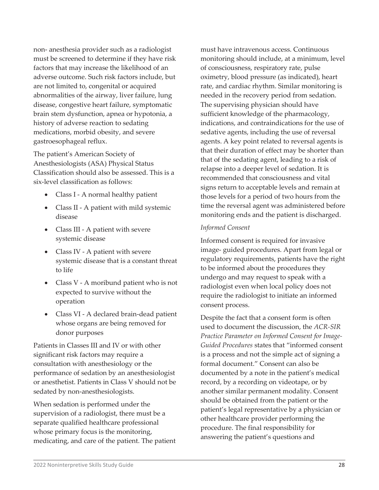non- anesthesia provider such as a radiologist must be screened to determine if they have risk factors that may increase the likelihood of an adverse outcome. Such risk factors include, but are not limited to, congenital or acquired abnormalities of the airway, liver failure, lung disease, congestive heart failure, symptomatic brain stem dysfunction, apnea or hypotonia, a history of adverse reaction to sedating medications, morbid obesity, and severe gastroesophageal reflux.

The patient's American Society of Anesthesiologists (ASA) Physical Status Classification should also be assessed. This is a six-level classification as follows:

- Class I A normal healthy patient
- Class II A patient with mild systemic disease
- Class III A patient with severe systemic disease
- Class IV A patient with severe systemic disease that is a constant threat to life
- Class V A moribund patient who is not expected to survive without the operation
- Class VI A declared brain-dead patient whose organs are being removed for donor purposes

Patients in Classes III and IV or with other significant risk factors may require a consultation with anesthesiology or the performance of sedation by an anesthesiologist or anesthetist. Patients in Class V should not be sedated by non-anesthesiologists.

When sedation is performed under the supervision of a radiologist, there must be a separate qualified healthcare professional whose primary focus is the monitoring, medicating, and care of the patient. The patient must have intravenous access. Continuous monitoring should include, at a minimum, level of consciousness, respiratory rate, pulse oximetry, blood pressure (as indicated), heart rate, and cardiac rhythm. Similar monitoring is needed in the recovery period from sedation. The supervising physician should have sufficient knowledge of the pharmacology, indications, and contraindications for the use of sedative agents, including the use of reversal agents. A key point related to reversal agents is that their duration of effect may be shorter than that of the sedating agent, leading to a risk of relapse into a deeper level of sedation. It is recommended that consciousness and vital signs return to acceptable levels and remain at those levels for a period of two hours from the time the reversal agent was administered before monitoring ends and the patient is discharged.

#### *Informed Consent*

Informed consent is required for invasive image- guided procedures. Apart from legal or regulatory requirements, patients have the right to be informed about the procedures they undergo and may request to speak with a radiologist even when local policy does not require the radiologist to initiate an informed consent process.

Despite the fact that a consent form is often used to document the discussion, the *ACR-SIR Practice Parameter on Informed Consent for Image-Guided Procedures* states that "informed consent is a process and not the simple act of signing a formal document." Consent can also be documented by a note in the patient's medical record, by a recording on videotape, or by another similar permanent modality. Consent should be obtained from the patient or the patient's legal representative by a physician or other healthcare provider performing the procedure. The final responsibility for answering the patient's questions and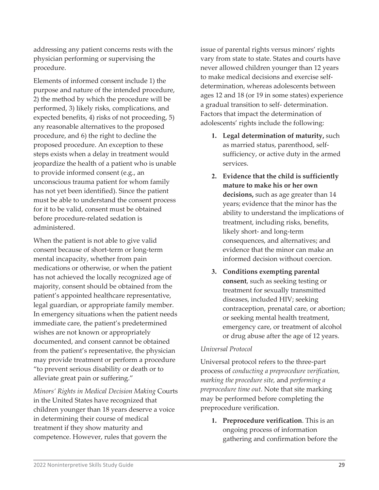addressing any patient concerns rests with the physician performing or supervising the procedure.

Elements of informed consent include 1) the purpose and nature of the intended procedure, 2) the method by which the procedure will be performed, 3) likely risks, complications, and expected benefits, 4) risks of not proceeding, 5) any reasonable alternatives to the proposed procedure, and 6) the right to decline the proposed procedure. An exception to these steps exists when a delay in treatment would jeopardize the health of a patient who is unable to provide informed consent (e.g., an unconscious trauma patient for whom family has not yet been identified). Since the patient must be able to understand the consent process for it to be valid, consent must be obtained before procedure-related sedation is administered.

When the patient is not able to give valid consent because of short-term or long-term mental incapacity, whether from pain medications or otherwise, or when the patient has not achieved the locally recognized age of majority, consent should be obtained from the patient's appointed healthcare representative, legal guardian, or appropriate family member. In emergency situations when the patient needs immediate care, the patient's predetermined wishes are not known or appropriately documented, and consent cannot be obtained from the patient's representative, the physician may provide treatment or perform a procedure "to prevent serious disability or death or to alleviate great pain or suffering."

*Minors' Rights in Medical Decision Making* Courts in the United States have recognized that children younger than 18 years deserve a voice in determining their course of medical treatment if they show maturity and competence. However, rules that govern the

issue of parental rights versus minors' rights vary from state to state. States and courts have never allowed children younger than 12 years to make medical decisions and exercise selfdetermination, whereas adolescents between ages 12 and 18 (or 19 in some states) experience a gradual transition to self- determination. Factors that impact the determination of adolescents' rights include the following:

- **1. Legal determination of maturity,** such as married status, parenthood, selfsufficiency, or active duty in the armed services.
- **2. Evidence that the child is sufficiently mature to make his or her own decisions,** such as age greater than 14 years; evidence that the minor has the ability to understand the implications of treatment, including risks, benefits, likely short- and long-term consequences, and alternatives; and evidence that the minor can make an informed decision without coercion.
- **3. Conditions exempting parental**  consent, such as seeking testing or treatment for sexually transmitted diseases, included HIV; seeking contraception, prenatal care, or abortion; or seeking mental health treatment, emergency care, or treatment of alcohol or drug abuse after the age of 12 years.

#### *Universal Protocol*

Universal protocol refers to the three-part process of *conducting a preprocedure verification, marking the procedure site,* and *performing a preprocedure time out*. Note that site marking may be performed before completing the preprocedure verification.

**1. Preprocedure verification**. This is an ongoing process of information gathering and confirmation before the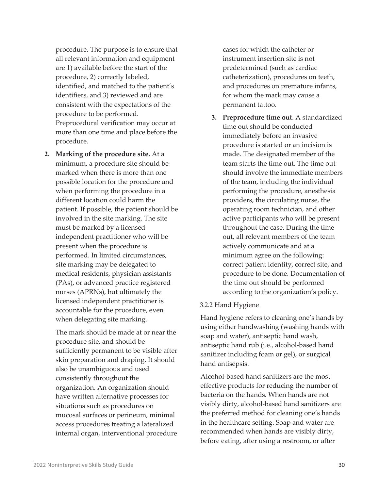procedure. The purpose is to ensure that all relevant information and equipment are 1) available before the start of the procedure, 2) correctly labeled, identified, and matched to the patient's identifiers, and 3) reviewed and are consistent with the expectations of the procedure to be performed. Preprocedural verification may occur at more than one time and place before the procedure.

**2. Marking of the procedure site.** At a minimum, a procedure site should be marked when there is more than one possible location for the procedure and when performing the procedure in a different location could harm the patient. If possible, the patient should be involved in the site marking. The site must be marked by a licensed independent practitioner who will be present when the procedure is performed. In limited circumstances, site marking may be delegated to medical residents, physician assistants (PAs), or advanced practice registered nurses (APRNs), but ultimately the licensed independent practitioner is accountable for the procedure, even when delegating site marking.

The mark should be made at or near the procedure site, and should be sufficiently permanent to be visible after skin preparation and draping. It should also be unambiguous and used consistently throughout the organization. An organization should have written alternative processes for situations such as procedures on mucosal surfaces or perineum, minimal access procedures treating a lateralized internal organ, interventional procedure cases for which the catheter or instrument insertion site is not predetermined (such as cardiac catheterization), procedures on teeth, and procedures on premature infants, for whom the mark may cause a permanent tattoo.

**3. Preprocedure time out**. A standardized time out should be conducted immediately before an invasive procedure is started or an incision is made. The designated member of the team starts the time out. The time out should involve the immediate members of the team, including the individual performing the procedure, anesthesia providers, the circulating nurse, the operating room technician, and other active participants who will be present throughout the case. During the time out, all relevant members of the team actively communicate and at a minimum agree on the following: correct patient identity, correct site, and procedure to be done. Documentation of the time out should be performed according to the organization's policy.

#### 3.2.2 Hand Hygiene

Hand hygiene refers to cleaning one's hands by using either handwashing (washing hands with soap and water), antiseptic hand wash, antiseptic hand rub (i.e., alcohol-based hand sanitizer including foam or gel), or surgical hand antisepsis.

Alcohol-based hand sanitizers are the most effective products for reducing the number of bacteria on the hands. When hands are not visibly dirty, alcohol-based hand sanitizers are the preferred method for cleaning one's hands in the healthcare setting. Soap and water are recommended when hands are visibly dirty, before eating, after using a restroom, or after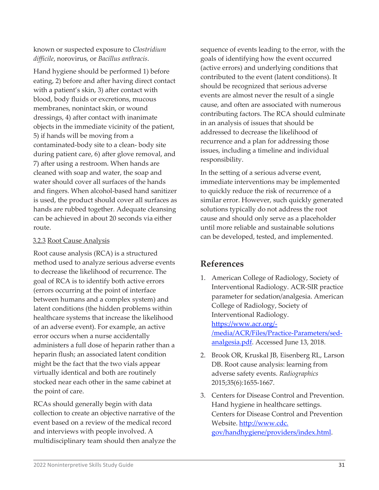Hand hygiene should be performed 1) before eating, 2) before and after having direct contact with a patient's skin, 3) after contact with blood, body fluids or excretions, mucous membranes, nonintact skin, or wound dressings, 4) after contact with inanimate objects in the immediate vicinity of the patient, 5) if hands will be moving from a contaminated-body site to a clean- body site during patient care, 6) after glove removal, and 7) after using a restroom. When hands are cleaned with soap and water, the soap and water should cover all surfaces of the hands and fingers. When alcohol-based hand sanitizer is used, the product should cover all surfaces as hands are rubbed together. Adequate cleansing can be achieved in about 20 seconds via either route.

## 3.2.3 Root Cause Analysis

Root cause analysis (RCA) is a structured method used to analyze serious adverse events to decrease the likelihood of recurrence. The goal of RCA is to identify both active errors (errors occurring at the point of interface between humans and a complex system) and latent conditions (the hidden problems within healthcare systems that increase the likelihood of an adverse event). For example, an active error occurs when a nurse accidentally administers a full dose of heparin rather than a heparin flush; an associated latent condition might be the fact that the two vials appear virtually identical and both are routinely stocked near each other in the same cabinet at the point of care.

RCAs should generally begin with data collection to create an objective narrative of the event based on a review of the medical record and interviews with people involved. A multidisciplinary team should then analyze the sequence of events leading to the error, with the goals of identifying how the event occurred (active errors) and underlying conditions that contributed to the event (latent conditions). It should be recognized that serious adverse events are almost never the result of a single cause, and often are associated with numerous contributing factors. The RCA should culminate in an analysis of issues that should be addressed to decrease the likelihood of recurrence and a plan for addressing those issues, including a timeline and individual responsibility.

In the setting of a serious adverse event, immediate interventions may be implemented to quickly reduce the risk of recurrence of a similar error. However, such quickly generated solutions typically do not address the root cause and should only serve as a placeholder until more reliable and sustainable solutions can be developed, tested, and implemented.

# **References**

- 1. American College of Radiology, Society of Interventional Radiology. ACR-SIR practice parameter for sedation/analgesia. American College of Radiology, Society of Interventional Radiology. [https://w](https://www.acr.org/-/media/ACR/Files/Practice-Parameters/sed-analgesia.pdf)ww.acr.org/- /media/ACR/Files/Practice-Param[eters/sed](https://www.acr.org/-/media/ACR/Files/Practice-Parameters/sed-analgesia.pdf)[analgesia.pdf.](https://www.acr.org/-/media/ACR/Files/Practice-Parameters/sed-analgesia.pdf) Accessed June 13, 2018.
- 2. Brook OR, Kruskal JB, Eisenberg RL, Larson DB. Root cause analysis: learning from adverse safety events. *Radiographics*  2015;35(6):1655-1667.
- 3. Centers for Disease Control and Prevention. Hand hygiene in healthcare settings. Centers for Disease Control and Prevention Website. [http://www.cdc.](http://www.cdc.gov/handhygiene/providers/index.html) [gov/handhygiene/providers/index.html.](http://www.cdc.gov/handhygiene/providers/index.html)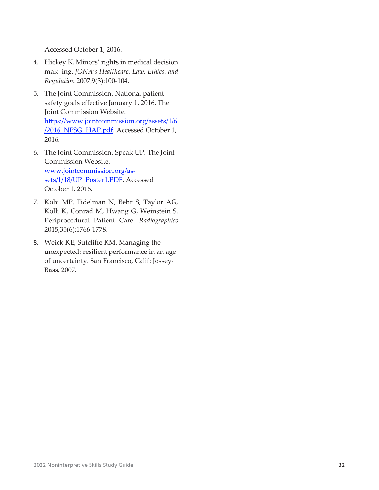Accessed October 1, 2016.

- 4. Hickey K. Minors' rights in medical decision mak- ing. *JONA's Healthcare, Law, Ethics, and Regulation* 2007;9(3):100-104.
- 5. The Joint Commission. National patient safety goals effective January 1, 2016. The Joint Commission Website. [https://www.jointcommission.org/assets/1/6](https://www.jointcommission.org/assets/1/6/2016_NPSG_HAP.pdf) [/2016\\_NPSG\\_HAP.pdf.](https://www.jointcommission.org/assets/1/6/2016_NPSG_HAP.pdf) Accessed October 1, 2016.
- 6. The Joint Commission. Speak UP. The Joint Commission Website. www.jointcommission.org/as[sets/1/18/UP\\_Poster1.PDF.](http://www.jointcommission.org/assets/1/18/UP_Poster1.PDF) Accessed October 1, 2016.
- 7. Kohi MP, Fidelman N, Behr S, Taylor AG, Kolli K, Conrad M, Hwang G, Weinstein S. Periprocedural Patient Care. *Radiographics*  2015;35(6):1766-1778.
- 8. Weick KE, Sutcliffe KM. Managing the unexpected: resilient performance in an age of uncertainty. San Francisco, Calif: Jossey-Bass, 2007.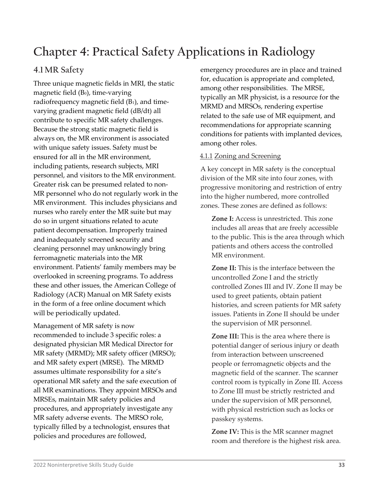# **Chapter 4: Practical Safety Applications in Radiology**

# **4.1MR Safety**

Three unique magnetic fields in MRI, the static magnetic field  $(B<sub>0</sub>)$ , time-varying radiofrequency magnetic field (B1), and timevarying gradient magnetic field (dB/dt) all contribute to specific MR safety challenges. Because the strong static magnetic field is always on, the MR environment is associated with unique safety issues. Safety must be ensured for all in the MR environment, including patients, research subjects, MRI personnel, and visitors to the MR environment. Greater risk can be presumed related to non-MR personnel who do not regularly work in the MR environment. This includes physicians and nurses who rarely enter the MR suite but may do so in urgent situations related to acute patient decompensation. Improperly trained and inadequately screened security and cleaning personnel may unknowingly bring ferromagnetic materials into the MR environment. Patients' family members may be overlooked in screening programs. To address these and other issues, the American College of Radiology (ACR) Manual on MR Safety exists in the form of a free online document which will be periodically updated.

Management of MR safety is now recommended to include 3 specific roles: a designated physician MR Medical Director for MR safety (MRMD); MR safety officer (MRSO); and MR safety expert (MRSE). The MRMD assumes ultimate responsibility for a site's operational MR safety and the safe execution of all MR examinations. They appoint MRSOs and MRSEs, maintain MR safety policies and procedures, and appropriately investigate any MR safety adverse events. The MRSO role, typically filled by a technologist, ensures that policies and procedures are followed,

emergency procedures are in place and trained for, education is appropriate and completed, among other responsibilities. The MRSE, typically an MR physicist, is a resource for the MRMD and MRSOs, rendering expertise related to the safe use of MR equipment, and recommendations for appropriate scanning conditions for patients with implanted devices, among other roles.

## 4.1.1 Zoning and Screening

A key concept in MR safety is the conceptual division of the MR site into four zones, with progressive monitoring and restriction of entry into the higher numbered, more controlled zones. These zones are defined as follows:

**Zone I:** Access is unrestricted. This zone includes all areas that are freely accessible to the public. This is the area through which patients and others access the controlled MR environment.

**Zone II:** This is the interface between the uncontrolled Zone I and the strictly controlled Zones III and IV. Zone II may be used to greet patients, obtain patient histories, and screen patients for MR safety issues. Patients in Zone II should be under the supervision of MR personnel.

**Zone III:** This is the area where there is potential danger of serious injury or death from interaction between unscreened people or ferromagnetic objects and the magnetic field of the scanner. The scanner control room is typically in Zone III. Access to Zone III must be strictly restricted and under the supervision of MR personnel, with physical restriction such as locks or passkey systems.

**Zone IV:** This is the MR scanner magnet room and therefore is the highest risk area.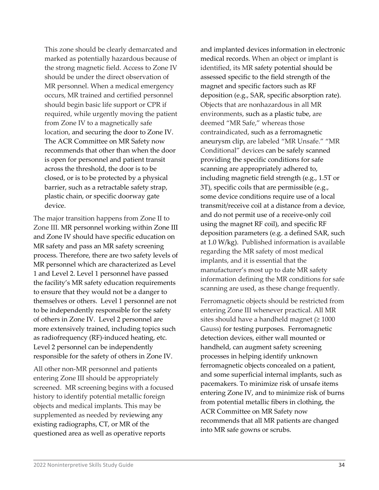This zone should be clearly demarcated and marked as potentially hazardous because of the strong magnetic field. Access to Zone IV should be under the direct observation of MR personnel. When a medical emergency occurs, MR trained and certified personnel should begin basic life support or CPR if required, while urgently moving the patient from Zone IV to a magnetically safe location, and securing the door to Zone IV. The ACR Committee on MR Safety now recommends that other than when the door is open for personnel and patient transit across the threshold, the door is to be closed, or is to be protected by a physical barrier, such as a retractable safety strap, plastic chain, or specific doorway gate device.

The major transition happens from Zone II to Zone III. MR personnel working within Zone III and Zone IV should have specific education on MR safety and pass an MR safety screening process. Therefore, there are two safety levels of MR personnel which are characterized as Level 1 and Level 2. Level 1 personnel have passed the facility's MR safety education requirements to ensure that they would not be a danger to themselves or others. Level 1 personnel are not to be independently responsible for the safety of others in Zone IV. Level 2 personnel are more extensively trained, including topics such as radiofrequency (RF)-induced heating, etc. Level 2 personnel can be independently responsible for the safety of others in Zone IV.

All other non-MR personnel and patients entering Zone III should be appropriately screened. MR screening begins with a focused history to identify potential metallic foreign objects and medical implants. This may be supplemented as needed by reviewing any existing radiographs, CT, or MR of the questioned area as well as operative reports

and implanted devices information in electronic medical records. When an object or implant is identified, its MR safety potential should be assessed specific to the field strength of the magnet and specific factors such as RF deposition (e.g., SAR, specific absorption rate). Objects that are nonhazardous in all MR environments, such as a plastic tube, are deemed "MR Safe," whereas those contraindicated, such as a ferromagnetic aneurysm clip, are labeled "MR Unsafe." "MR Conditional" devices can be safely scanned providing the specific conditions for safe scanning are appropriately adhered to, including magnetic field strength (e.g., 1.5T or 3T), specific coils that are permissible (e.g., some device conditions require use of a local transmit/receive coil at a distance from a device, and do not permit use of a receive-only coil using the magnet RF coil), and specific RF deposition parameters (e.g. a defined SAR, such at 1.0 W/kg). Published information is available regarding the MR safety of most medical implants, and it is essential that the manufacturer's most up to date MR safety information defining the MR conditions for safe scanning are used, as these change frequently.

Ferromagnetic objects should be restricted from entering Zone III whenever practical. All MR sites should have a handheld magnet ( $\geq 1000$ Gauss) for testing purposes. Ferromagnetic detection devices, either wall mounted or handheld, can augment safety screening processes in helping identify unknown ferromagnetic objects concealed on a patient, and some superficial internal implants, such as pacemakers. To minimize risk of unsafe items entering Zone IV, and to minimize risk of burns from potential metallic fibers in clothing, the ACR Committee on MR Safety now recommends that all MR patients are changed into MR safe gowns or scrubs.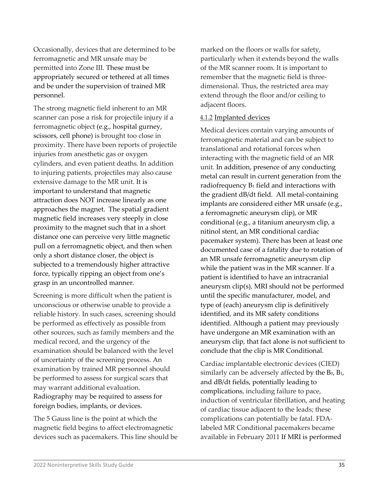Occasionally, devices that are determined to be ferromagnetic and MR unsafe may be permitted into Zone III. These must be appropriately secured or tethered at all times and be under the supervision of trained MR personnel.

The strong magnetic field inherent to an MR scanner can pose a risk for projectile injury if a ferromagnetic object (e.g., hospital gurney, scissors, cell phone) is brought too close in proximity. There have been reports of projectile injuries from anesthetic gas or oxygen cylinders, and even patient deaths. In addition to injuring patients, projectiles may also cause extensive damage to the MR unit. It is important to understand that magnetic attraction does NOT increase linearly as one approaches the magnet. The spatial gradient magnetic field increases very steeply in close proximity to the magnet such that in a short distance one can perceive very little magnetic pull on a ferromagnetic object, and then when only a short distance closer, the object is subjected to a tremendously higher attractive force, typically ripping an object from one's grasp in an uncontrolled manner.

Screening is more difficult when the patient is unconscious or otherwise unable to provide a reliable history. In such cases, screening should be performed as effectively as possible from other sources, such as family members and the medical record, and the urgency of the examination should be balanced with the level of uncertainty of the screening process. An examination by trained MR personnel should be performed to assess for surgical scars that may warrant additional evaluation. Radiography may be required to assess for foreign bodies, implants, or devices.

The 5 Gauss line is the point at which the magnetic field begins to affect electromagnetic devices such as pacemakers. This line should be marked on the floors or walls for safety, particularly when it extends beyond the walls of the MR scanner room. It is important to remember that the magnetic field is threedimensional. Thus, the restricted area may extend through the floor and/or ceiling to adjacent floors.

#### 4.1.2 Implanted devices

Medical devices contain varying amounts of ferromagnetic material and can be subject to translational and rotational forces when interacting with the magnetic field of an MR unit. In addition, presence of any conducting metal can result in current generation from the radiofrequency B<sub>1</sub> field and interactions with the gradient dB/dt field. All metal-containing implants are considered either MR unsafe (e.g., a ferromagnetic aneurysm clip), or MR conditional (e.g., a titanium aneurysm clip, a nitinol stent, an MR conditional cardiac pacemaker system). There has been at least one documented case of a fatality due to rotation of an MR unsafe ferromagnetic aneurysm clip while the patient was in the MR scanner. If a patient is identified to have an intracranial aneurysm clip(s), MRI should not be performed until the specific manufacturer, model, and type of (each) aneurysm clip is definitively identified, and its MR safety conditions identified. Although a patient may previously have undergone an MR examination with an aneurysm clip, that fact alone is not sufficient to conclude that the clip is MR Conditional.

Cardiac implantable electronic devices (CIED) similarly can be adversely affected by the  $B_0$ ,  $B_1$ , and dB/dt fields, potentially leading to complications, including failure to pace, induction of ventricular fibrillation, and heating of cardiac tissue adjacent to the leads; these complications can potentially be fatal. FDAlabeled MR Conditional pacemakers became available in February 2011 If MRI is performed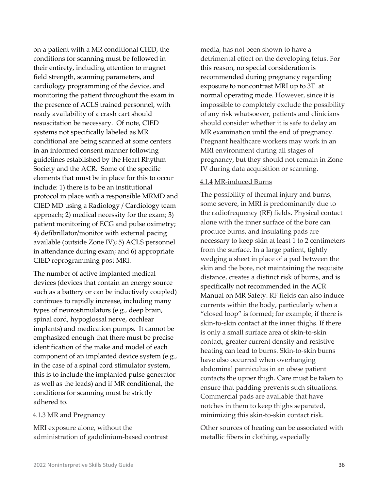on a patient with a MR conditional CIED, the conditions for scanning must be followed in their entirety, including attention to magnet field strength, scanning parameters, and cardiology programming of the device, and monitoring the patient throughout the exam in the presence of ACLS trained personnel, with ready availability of a crash cart should resuscitation be necessary. Of note, CIED systems not specifically labeled as MR conditional are being scanned at some centers in an informed consent manner following guidelines established by the Heart Rhythm Society and the ACR. Some of the specific elements that must be in place for this to occur include: 1) there is to be an institutional protocol in place with a responsible MRMD and CIED MD using a Radiology / Cardiology team approach; 2) medical necessity for the exam; 3) patient monitoring of ECG and pulse oximetry; 4) defibrillator/monitor with external pacing available (outside Zone IV); 5) ACLS personnel in attendance during exam; and 6) appropriate CIED reprogramming post MRI.

The number of active implanted medical devices (devices that contain an energy source such as a battery or can be inductively coupled) continues to rapidly increase, including many types of neurostimulators (e.g., deep brain, spinal cord, hypoglossal nerve, cochlear implants) and medication pumps. It cannot be emphasized enough that there must be precise identification of the make and model of each component of an implanted device system (e.g., in the case of a spinal cord stimulator system, this is to include the implanted pulse generator as well as the leads) and if MR conditional, the conditions for scanning must be strictly adhered to.

#### 4.1.3 MR and Pregnancy

MRI exposure alone, without the administration of gadolinium-based contrast

media, has not been shown to have a detrimental effect on the developing fetus. For this reason, no special consideration is recommended during pregnancy regarding exposure to noncontrast MRI up to 3T at normal operating mode. However, since it is impossible to completely exclude the possibility of any risk whatsoever, patients and clinicians should consider whether it is safe to delay an MR examination until the end of pregnancy. Pregnant healthcare workers may work in an MRI environment during all stages of pregnancy, but they should not remain in Zone IV during data acquisition or scanning.

#### 4.1.4 MR-induced Burns

The possibility of thermal injury and burns, some severe, in MRI is predominantly due to the radiofrequency (RF) fields. Physical contact alone with the inner surface of the bore can produce burns, and insulating pads are necessary to keep skin at least 1 to 2 centimeters from the surface. In a large patient, tightly wedging a sheet in place of a pad between the skin and the bore, not maintaining the requisite distance, creates a distinct risk of burns, and is specifically not recommended in the ACR Manual on MR Safety. RF fields can also induce currents within the body, particularly when a "closed loop" is formed; for example, if there is skin-to-skin contact at the inner thighs. If there is only a small surface area of skin-to-skin contact, greater current density and resistive heating can lead to burns. Skin-to-skin burns have also occurred when overhanging abdominal panniculus in an obese patient contacts the upper thigh. Care must be taken to ensure that padding prevents such situations. Commercial pads are available that have notches in them to keep thighs separated, minimizing this skin-to-skin contact risk.

Other sources of heating can be associated with metallic fibers in clothing, especially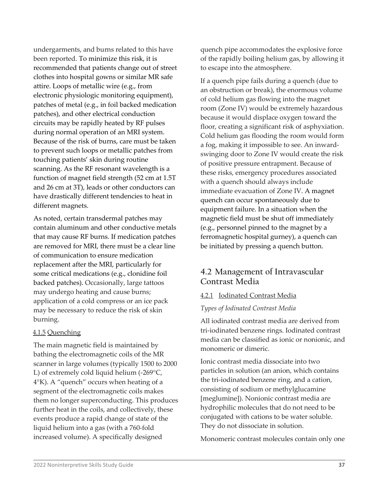undergarments, and burns related to this have been reported. To minimize this risk, it is recommended that patients change out of street clothes into hospital gowns or similar MR safe attire. Loops of metallic wire (e.g., from electronic physiologic monitoring equipment), patches of metal (e.g., in foil backed medication patches), and other electrical conduction circuits may be rapidly heated by RF pulses during normal operation of an MRI system. Because of the risk of burns, care must be taken to prevent such loops or metallic patches from touching patients' skin during routine scanning. As the RF resonant wavelength is a function of magnet field strength (52 cm at 1.5T and 26 cm at 3T), leads or other conductors can have drastically different tendencies to heat in different magnets.

As noted, certain transdermal patches may contain aluminum and other conductive metals that may cause RF burns. If medication patches are removed for MRI, there must be a clear line of communication to ensure medication replacement after the MRI, particularly for some critical medications (e.g., clonidine foil backed patches). Occasionally, large tattoos may undergo heating and cause burns; application of a cold compress or an ice pack may be necessary to reduce the risk of skin burning.

### 4.1.5 Quenching

The main magnetic field is maintained by bathing the electromagnetic coils of the MR scanner in large volumes (typically 1500 to 2000 L) of extremely cold liquid helium (-269°C, 4°K). A "quench" occurs when heating of a segment of the electromagnetic coils makes them no longer superconducting. This produces further heat in the coils, and collectively, these events produce a rapid change of state of the liquid helium into a gas (with a 760-fold increased volume). A specifically designed

quench pipe accommodates the explosive force of the rapidly boiling helium gas, by allowing it to escape into the atmosphere.

If a quench pipe fails during a quench (due to an obstruction or break), the enormous volume of cold helium gas flowing into the magnet room (Zone IV) would be extremely hazardous because it would displace oxygen toward the floor, creating a significant risk of asphyxiation. Cold helium gas flooding the room would form a fog, making it impossible to see. An inwardswinging door to Zone IV would create the risk of positive pressure entrapment. Because of these risks, emergency procedures associated with a quench should always include immediate evacuation of Zone IV. A magnet quench can occur spontaneously due to equipment failure. In a situation when the magnetic field must be shut off immediately (e.g., personnel pinned to the magnet by a ferromagnetic hospital gurney), a quench can be initiated by pressing a quench button.

# **4.2 Management of Intravascular Contrast Media**

### 4.2.1 Iodinated Contrast Media

### *Types of Iodinated Contrast Media*

All iodinated contrast media are derived from tri-iodinated benzene rings. Iodinated contrast media can be classified as ionic or nonionic, and monomeric or dimeric.

Ionic contrast media dissociate into two particles in solution (an anion, which contains the tri-iodinated benzene ring, and a cation, consisting of sodium or methylglucamine [meglumine]). Nonionic contrast media are hydrophilic molecules that do not need to be conjugated with cations to be water soluble. They do not dissociate in solution.

Monomeric contrast molecules contain only one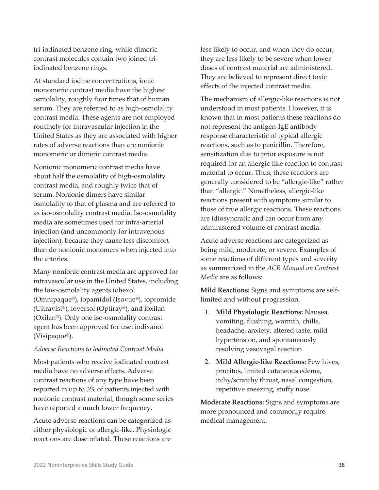tri-iodinated benzene ring, while dimeric contrast molecules contain two joined triiodinated benzene rings.

At standard iodine concentrations, ionic monomeric contrast media have the highest osmolality, roughly four times that of human serum. They are referred to as high-osmolality contrast media. These agents are not employed routinely for intravascular injection in the United States as they are associated with higher rates of adverse reactions than are nonionic monomeric or dimeric contrast media.

Nonionic monomeric contrast media have about half the osmolality of high-osmolality contrast media, and roughly twice that of serum. Nonionic dimers have similar osmolality to that of plasma and are referred to as iso-osmolality contrast media. Iso-osmolality media are sometimes used for intra-arterial injection (and uncommonly for intravenous injection), because they cause less discomfort than do nonionic monomers when injected into the arteries.

Many nonionic contrast media are approved for intravascular use in the United States, including the low-osmolality agents iohexol (Omnipaque®), iopamidol (Isovue®), iopromide (Ultravist®), ioversol (Optiray®), and ioxilan (Oxilan®). Only one iso-osmolality contrast agent has been approved for use: iodixanol (Visipaque®).

#### *Adverse Reactions to Iodinated Contrast Media*

Most patients who receive iodinated contrast media have no adverse effects. Adverse contrast reactions of any type have been reported in up to 3% of patients injected with nonionic contrast material, though some series have reported a much lower frequency.

Acute adverse reactions can be categorized as either physiologic or allergic-like. Physiologic reactions are dose related. These reactions are

less likely to occur, and when they do occur, they are less likely to be severe when lower doses of contrast material are administered. They are believed to represent direct toxic effects of the injected contrast media.

The mechanism of allergic-like reactions is not understood in most patients. However, it is known that in most patients these reactions do not represent the antigen-IgE antibody response characteristic of typical allergic reactions, such as to penicillin. Therefore, sensitization due to prior exposure is not required for an allergic-like reaction to contrast material to occur. Thus, these reactions are generally considered to be "allergic-like" rather than "allergic." Nonetheless, allergic-like reactions present with symptoms similar to those of true allergic reactions. These reactions are idiosyncratic and can occur from any administered volume of contrast media.

Acute adverse reactions are categorized as being mild, moderate, or severe. Examples of some reactions of different types and severity as summarized in the *ACR Manual on Contrast Media* are as follows:

**Mild Reactions:** Signs and symptoms are selflimited and without progression.

- 1. **Mild Physiologic Reactions:** Nausea, vomiting, flushing, warmth, chills, headache, anxiety, altered taste, mild hypertension, and spontaneously resolving vasovagal reaction
- 2. **Mild Allergic-like Reactions:** Few hives, pruritus, limited cutaneous edema, itchy/scratchy throat, nasal congestion, repetitive sneezing, stuffy nose

**Moderate Reactions:** Signs and symptoms are more pronounced and commonly require medical management.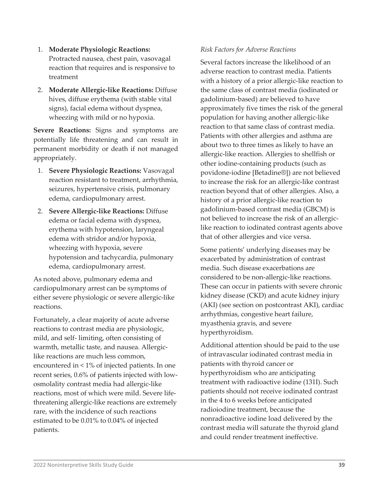- 1. **Moderate Physiologic Reactions:**  Protracted nausea, chest pain, vasovagal reaction that requires and is responsive to treatment
- 2. **Moderate Allergic-like Reactions:** Diffuse hives, diffuse erythema (with stable vital signs), facial edema without dyspnea, wheezing with mild or no hypoxia.

**Severe Reactions:** Signs and symptoms are potentially life threatening and can result in permanent morbidity or death if not managed appropriately.

- 1. **Severe Physiologic Reactions:** Vasovagal reaction resistant to treatment, arrhythmia, seizures, hypertensive crisis, pulmonary edema, cardiopulmonary arrest.
- 2. **Severe Allergic-like Reactions:** Diffuse edema or facial edema with dyspnea, erythema with hypotension, laryngeal edema with stridor and/or hypoxia, wheezing with hypoxia, severe hypotension and tachycardia, pulmonary edema, cardiopulmonary arrest.

As noted above, pulmonary edema and cardiopulmonary arrest can be symptoms of either severe physiologic or severe allergic-like reactions.

Fortunately, a clear majority of acute adverse reactions to contrast media are physiologic, mild, and self- limiting, often consisting of warmth, metallic taste, and nausea. Allergiclike reactions are much less common, encountered in < 1% of injected patients. In one recent series, 0.6% of patients injected with lowosmolality contrast media had allergic-like reactions, most of which were mild. Severe lifethreatening allergic-like reactions are extremely rare, with the incidence of such reactions estimated to be 0.01% to 0.04% of injected patients.

### *Risk Factors for Adverse Reactions*

Several factors increase the likelihood of an adverse reaction to contrast media. Patients with a history of a prior allergic-like reaction to the same class of contrast media (iodinated or gadolinium-based) are believed to have approximately five times the risk of the general population for having another allergic-like reaction to that same class of contrast media. Patients with other allergies and asthma are about two to three times as likely to have an allergic-like reaction. Allergies to shellfish or other iodine-containing products (such as povidone-iodine [Betadine®]) are not believed to increase the risk for an allergic-like contrast reaction beyond that of other allergies. Also, a history of a prior allergic-like reaction to gadolinium-based contrast media (GBCM) is not believed to increase the risk of an allergiclike reaction to iodinated contrast agents above that of other allergies and vice versa.

Some patients' underlying diseases may be exacerbated by administration of contrast media. Such disease exacerbations are considered to be non-allergic-like reactions. These can occur in patients with severe chronic kidney disease (CKD) and acute kidney injury (AKI) (see section on postcontrast AKI), cardiac arrhythmias, congestive heart failure, myasthenia gravis, and severe hyperthyroidism.

Additional attention should be paid to the use of intravascular iodinated contrast media in patients with thyroid cancer or hyperthyroidism who are anticipating treatment with radioactive iodine (131I). Such patients should not receive iodinated contrast in the 4 to 6 weeks before anticipated radioiodine treatment, because the nonradioactive iodine load delivered by the contrast media will saturate the thyroid gland and could render treatment ineffective.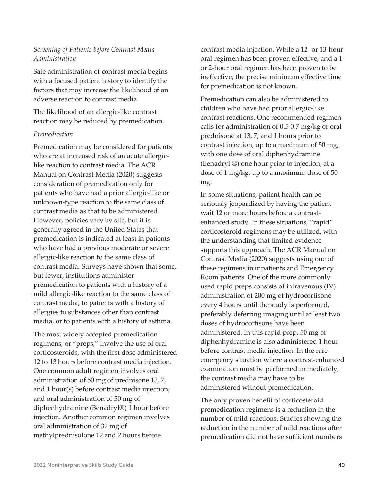### *Screening of Patients before Contrast Media Administration*

Safe administration of contrast media begins with a focused patient history to identify the factors that may increase the likelihood of an adverse reaction to contrast media.

The likelihood of an allergic-like contrast reaction may be reduced by premedication.

### *Premedication*

Premedication may be considered for patients who are at increased risk of an acute allergiclike reaction to contrast media. The ACR Manual on Contrast Media (2020) suggests consideration of premedication only for patients who have had a prior allergic-like or unknown-type reaction to the same class of contrast media as that to be administered. However, policies vary by site, but it is generally agreed in the United States that premedication is indicated at least in patients who have had a previous moderate or severe allergic-like reaction to the same class of contrast media. Surveys have shown that some, but fewer, institutions administer premedication to patients with a history of a mild allergic-like reaction to the same class of contrast media, to patients with a history of allergies to substances other than contrast media, or to patients with a history of asthma.

The most widely accepted premedication regimens, or "preps," involve the use of oral corticosteroids, with the first dose administered 12 to 13 hours before contrast media injection. One common adult regimen involves oral administration of 50 mg of prednisone 13, 7, and 1 hour(s) before contrast media injection, and oral administration of 50 mg of diphenhydramine (Benadryl®) 1 hour before injection. Another common regimen involves oral administration of 32 mg of methylprednisolone 12 and 2 hours before

contrast media injection. While a 12- or 13-hour oral regimen has been proven effective, and a 1 or 2-hour oral regimen has been proven to be ineffective, the precise minimum effective time for premedication is not known.

Premedication can also be administered to children who have had prior allergic-like contrast reactions. One recommended regimen calls for administration of 0.5-0.7 mg/kg of oral prednisone at 13, 7, and 1 hours prior to contrast injection, up to a maximum of 50 mg, with one dose of oral diphenhydramine (Benadryl ®) one hour prior to injection, at a dose of 1 mg/kg, up to a maximum dose of 50 mg.

In some situations, patient health can be seriously jeopardized by having the patient wait 12 or more hours before a contrastenhanced study. In these situations, "rapid" corticosteroid regimens may be utilized, with the understanding that limited evidence supports this approach. The ACR Manual on Contrast Media (2020) suggests using one of these regimens in inpatients and Emergency Room patients. One of the more commonly used rapid preps consists of intravenous (IV) administration of 200 mg of hydrocortisone every 4 hours until the study is performed, preferably deferring imaging until at least two doses of hydrocortisone have been administered. In this rapid prep, 50 mg of diphenhydramine is also administered 1 hour before contrast media injection. In the rare emergency situation where a contrast-enhanced examination must be performed immediately, the contrast media may have to be administered without premedication.

The only proven benefit of corticosteroid premedication regimens is a reduction in the number of mild reactions. Studies showing the reduction in the number of mild reactions after premedication did not have sufficient numbers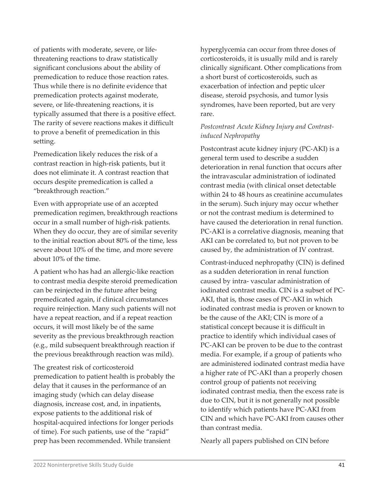of patients with moderate, severe, or lifethreatening reactions to draw statistically significant conclusions about the ability of premedication to reduce those reaction rates. Thus while there is no definite evidence that premedication protects against moderate, severe, or life-threatening reactions, it is typically assumed that there is a positive effect. The rarity of severe reactions makes it difficult to prove a benefit of premedication in this setting.

Premedication likely reduces the risk of a contrast reaction in high-risk patients, but it does not eliminate it. A contrast reaction that occurs despite premedication is called a "breakthrough reaction."

Even with appropriate use of an accepted premedication regimen, breakthrough reactions occur in a small number of high-risk patients. When they do occur, they are of similar severity to the initial reaction about 80% of the time, less severe about 10% of the time, and more severe about 10% of the time.

A patient who has had an allergic-like reaction to contrast media despite steroid premedication can be reinjected in the future after being premedicated again, if clinical circumstances require reinjection. Many such patients will not have a repeat reaction, and if a repeat reaction occurs, it will most likely be of the same severity as the previous breakthrough reaction (e.g., mild subsequent breakthrough reaction if the previous breakthrough reaction was mild).

The greatest risk of corticosteroid premedication to patient health is probably the delay that it causes in the performance of an imaging study (which can delay disease diagnosis, increase cost, and, in inpatients, expose patients to the additional risk of hospital-acquired infections for longer periods of time). For such patients, use of the "rapid" prep has been recommended. While transient

hyperglycemia can occur from three doses of corticosteroids, it is usually mild and is rarely clinically significant. Other complications from a short burst of corticosteroids, such as exacerbation of infection and peptic ulcer disease, steroid psychosis, and tumor lysis syndromes, have been reported, but are very rare.

### *Postcontrast Acute Kidney Injury and Contrastinduced Nephropathy*

Postcontrast acute kidney injury (PC-AKI) is a general term used to describe a sudden deterioration in renal function that occurs after the intravascular administration of iodinated contrast media (with clinical onset detectable within 24 to 48 hours as creatinine accumulates in the serum). Such injury may occur whether or not the contrast medium is determined to have caused the deterioration in renal function. PC-AKI is a correlative diagnosis, meaning that AKI can be correlated to, but not proven to be caused by, the administration of IV contrast.

Contrast-induced nephropathy (CIN) is defined as a sudden deterioration in renal function caused by intra- vascular administration of iodinated contrast media. CIN is a subset of PC-AKI, that is, those cases of PC-AKI in which iodinated contrast media is proven or known to be the cause of the AKI; CIN is more of a statistical concept because it is difficult in practice to identify which individual cases of PC-AKI can be proven to be due to the contrast media. For example, if a group of patients who are administered iodinated contrast media have a higher rate of PC-AKI than a properly chosen control group of patients not receiving iodinated contrast media, then the excess rate is due to CIN, but it is not generally not possible to identify which patients have PC-AKI from CIN and which have PC-AKI from causes other than contrast media.

Nearly all papers published on CIN before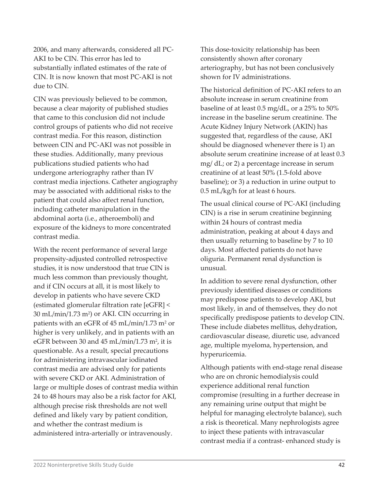2006, and many afterwards, considered all PC-AKI to be CIN. This error has led to substantially inflated estimates of the rate of CIN. It is now known that most PC-AKI is not due to CIN.

CIN was previously believed to be common, because a clear majority of published studies that came to this conclusion did not include control groups of patients who did not receive contrast media. For this reason, distinction between CIN and PC-AKI was not possible in these studies. Additionally, many previous publications studied patients who had undergone arteriography rather than IV contrast media injections. Catheter angiography may be associated with additional risks to the patient that could also affect renal function, including catheter manipulation in the abdominal aorta (i.e., atheroemboli) and exposure of the kidneys to more concentrated contrast media.

With the recent performance of several large propensity-adjusted controlled retrospective studies, it is now understood that true CIN is much less common than previously thought, and if CIN occurs at all, it is most likely to develop in patients who have severe CKD (estimated glomerular filtration rate [eGFR] < 30 mL/min/1.73 m2) or AKI. CIN occurring in patients with an eGFR of 45 mL/min/1.73 m<sup>2</sup> or higher is very unlikely, and in patients with an eGFR between 30 and 45 mL/min/1.73 m<sup>2</sup>, it is questionable. As a result, special precautions for administering intravascular iodinated contrast media are advised only for patients with severe CKD or AKI. Administration of large or multiple doses of contrast media within 24 to 48 hours may also be a risk factor for AKI, although precise risk thresholds are not well defined and likely vary by patient condition, and whether the contrast medium is administered intra-arterially or intravenously.

This dose-toxicity relationship has been consistently shown after coronary arteriography, but has not been conclusively shown for IV administrations.

The historical definition of PC-AKI refers to an absolute increase in serum creatinine from baseline of at least 0.5 mg/dL, or a 25% to 50% increase in the baseline serum creatinine. The Acute Kidney Injury Network (AKIN) has suggested that, regardless of the cause, AKI should be diagnosed whenever there is 1) an absolute serum creatinine increase of at least 0.3 mg/ dL; or 2) a percentage increase in serum creatinine of at least 50% (1.5-fold above baseline); or 3) a reduction in urine output to 0.5 mL/kg/h for at least 6 hours.

The usual clinical course of PC-AKI (including CIN) is a rise in serum creatinine beginning within 24 hours of contrast media administration, peaking at about 4 days and then usually returning to baseline by 7 to 10 days. Most affected patients do not have oliguria. Permanent renal dysfunction is unusual.

In addition to severe renal dysfunction, other previously identified diseases or conditions may predispose patients to develop AKI, but most likely, in and of themselves, they do not specifically predispose patients to develop CIN. These include diabetes mellitus, dehydration, cardiovascular disease, diuretic use, advanced age, multiple myeloma, hypertension, and hyperuricemia.

Although patients with end-stage renal disease who are on chronic hemodialysis could experience additional renal function compromise (resulting in a further decrease in any remaining urine output that might be helpful for managing electrolyte balance), such a risk is theoretical. Many nephrologists agree to inject these patients with intravascular contrast media if a contrast- enhanced study is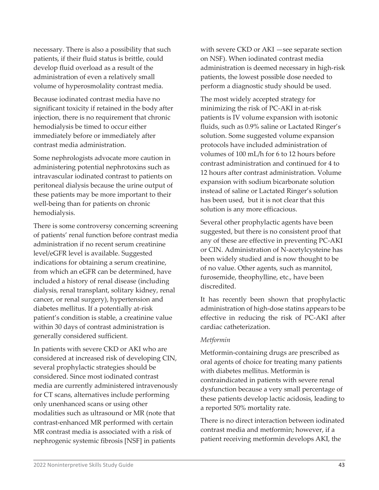necessary. There is also a possibility that such patients, if their fluid status is brittle, could develop fluid overload as a result of the administration of even a relatively small volume of hyperosmolality contrast media.

Because iodinated contrast media have no significant toxicity if retained in the body after injection, there is no requirement that chronic hemodialysis be timed to occur either immediately before or immediately after contrast media administration.

Some nephrologists advocate more caution in administering potential nephrotoxins such as intravascular iodinated contrast to patients on peritoneal dialysis because the urine output of these patients may be more important to their well-being than for patients on chronic hemodialysis.

There is some controversy concerning screening of patients' renal function before contrast media administration if no recent serum creatinine level/eGFR level is available. Suggested indications for obtaining a serum creatinine, from which an eGFR can be determined, have included a history of renal disease (including dialysis, renal transplant, solitary kidney, renal cancer, or renal surgery), hypertension and diabetes mellitus. If a potentially at-risk patient's condition is stable, a creatinine value within 30 days of contrast administration is generally considered sufficient.

In patients with severe CKD or AKI who are considered at increased risk of developing CIN, several prophylactic strategies should be considered. Since most iodinated contrast media are currently administered intravenously for CT scans, alternatives include performing only unenhanced scans or using other modalities such as ultrasound or MR (note that contrast-enhanced MR performed with certain MR contrast media is associated with a risk of nephrogenic systemic fibrosis [NSF] in patients

with severe CKD or AKI —see separate section on NSF). When iodinated contrast media administration is deemed necessary in high-risk patients, the lowest possible dose needed to perform a diagnostic study should be used.

The most widely accepted strategy for minimizing the risk of PC-AKI in at-risk patients is IV volume expansion with isotonic fluids, such as 0.9% saline or Lactated Ringer's solution. Some suggested volume expansion protocols have included administration of volumes of 100 mL/h for 6 to 12 hours before contrast administration and continued for 4 to 12 hours after contrast administration. Volume expansion with sodium bicarbonate solution instead of saline or Lactated Ringer's solution has been used, but it is not clear that this solution is any more efficacious.

Several other prophylactic agents have been suggested, but there is no consistent proof that any of these are effective in preventing PC-AKI or CIN. Administration of N-acetylcysteine has been widely studied and is now thought to be of no value. Other agents, such as mannitol, furosemide, theophylline, etc., have been discredited.

It has recently been shown that prophylactic administration of high-dose statins appears to be effective in reducing the risk of PC-AKI after cardiac catheterization.

#### *Metformin*

Metformin-containing drugs are prescribed as oral agents of choice for treating many patients with diabetes mellitus. Metformin is contraindicated in patients with severe renal dysfunction because a very small percentage of these patients develop lactic acidosis, leading to a reported 50% mortality rate.

There is no direct interaction between iodinated contrast media and metformin; however, if a patient receiving metformin develops AKI, the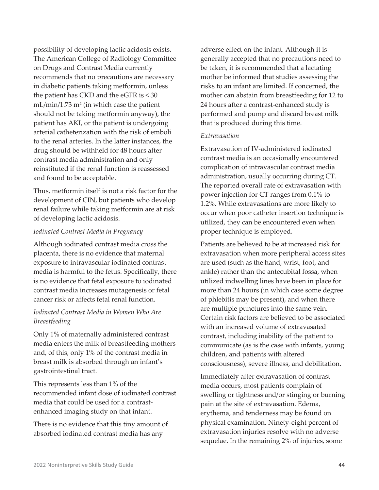possibility of developing lactic acidosis exists. The American College of Radiology Committee on Drugs and Contrast Media currently recommends that no precautions are necessary in diabetic patients taking metformin, unless the patient has CKD and the eGFR is < 30  $mL/min/1.73$  m<sup>2</sup> (in which case the patient should not be taking metformin anyway), the patient has AKI, or the patient is undergoing arterial catheterization with the risk of emboli to the renal arteries. In the latter instances, the drug should be withheld for 48 hours after contrast media administration and only reinstituted if the renal function is reassessed and found to be acceptable.

Thus, metformin itself is not a risk factor for the development of CIN, but patients who develop renal failure while taking metformin are at risk of developing lactic acidosis.

#### *Iodinated Contrast Media in Pregnancy*

Although iodinated contrast media cross the placenta, there is no evidence that maternal exposure to intravascular iodinated contrast media is harmful to the fetus. Specifically, there is no evidence that fetal exposure to iodinated contrast media increases mutagenesis or fetal cancer risk or affects fetal renal function.

### *Iodinated Contrast Media in Women Who Are Breastfeeding*

Only 1% of maternally administered contrast media enters the milk of breastfeeding mothers and, of this, only 1% of the contrast media in breast milk is absorbed through an infant's gastrointestinal tract.

This represents less than 1% of the recommended infant dose of iodinated contrast media that could be used for a contrastenhanced imaging study on that infant.

There is no evidence that this tiny amount of absorbed iodinated contrast media has any

adverse effect on the infant. Although it is generally accepted that no precautions need to be taken, it is recommended that a lactating mother be informed that studies assessing the risks to an infant are limited. If concerned, the mother can abstain from breastfeeding for 12 to 24 hours after a contrast-enhanced study is performed and pump and discard breast milk that is produced during this time.

#### *Extravasation*

Extravasation of IV-administered iodinated contrast media is an occasionally encountered complication of intravascular contrast media administration, usually occurring during CT. The reported overall rate of extravasation with power injection for CT ranges from 0.1% to 1.2%. While extravasations are more likely to occur when poor catheter insertion technique is utilized, they can be encountered even when proper technique is employed.

Patients are believed to be at increased risk for extravasation when more peripheral access sites are used (such as the hand, wrist, foot, and ankle) rather than the antecubital fossa, when utilized indwelling lines have been in place for more than 24 hours (in which case some degree of phlebitis may be present), and when there are multiple punctures into the same vein. Certain risk factors are believed to be associated with an increased volume of extravasated contrast, including inability of the patient to communicate (as is the case with infants, young children, and patients with altered consciousness), severe illness, and debilitation.

Immediately after extravasation of contrast media occurs, most patients complain of swelling or tightness and/or stinging or burning pain at the site of extravasation. Edema, erythema, and tenderness may be found on physical examination. Ninety-eight percent of extravasation injuries resolve with no adverse sequelae. In the remaining 2% of injuries, some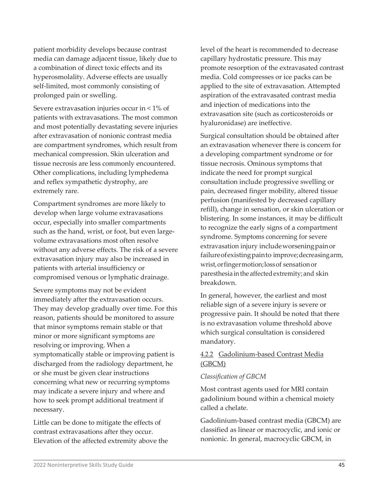patient morbidity develops because contrast media can damage adjacent tissue, likely due to a combination of direct toxic effects and its hyperosmolality. Adverse effects are usually self-limited, most commonly consisting of prolonged pain or swelling.

Severe extravasation injuries occur in < 1% of patients with extravasations. The most common and most potentially devastating severe injuries after extravasation of nonionic contrast media are compartment syndromes, which result from mechanical compression. Skin ulceration and tissue necrosis are less commonly encountered. Other complications, including lymphedema and reflex sympathetic dystrophy, are extremely rare.

Compartment syndromes are more likely to develop when large volume extravasations occur, especially into smaller compartments such as the hand, wrist, or foot, but even largevolume extravasations most often resolve without any adverse effects. The risk of a severe extravasation injury may also be increased in patients with arterial insufficiency or compromised venous or lymphatic drainage.

Severe symptoms may not be evident immediately after the extravasation occurs. They may develop gradually over time. For this reason, patients should be monitored to assure that minor symptoms remain stable or that minor or more significant symptoms are resolving or improving. When a symptomatically stable or improving patient is discharged from the radiology department, he or she must be given clear instructions concerning what new or recurring symptoms may indicate a severe injury and where and how to seek prompt additional treatment if necessary.

Little can be done to mitigate the effects of contrast extravasations after they occur. Elevation of the affected extremity above the level of the heart is recommended to decrease capillary hydrostatic pressure. This may promote resorption of the extravasated contrast media. Cold compresses or ice packs can be applied to the site of extravasation. Attempted aspiration of the extravasated contrast media and injection of medications into the extravasation site (such as corticosteroids or hyaluronidase) are ineffective.

Surgical consultation should be obtained after an extravasation whenever there is concern for a developing compartment syndrome or for tissue necrosis. Ominous symptoms that indicate the need for prompt surgical consultation include progressive swelling or pain, decreased finger mobility, altered tissue perfusion (manifested by decreased capillary refill), change in sensation, or skin ulceration or blistering. In some instances, it may be difficult to recognize the early signs of a compartment syndrome. Symptoms concerning for severe extravasation injury includeworseningpainor failureofexistingpainto improve;decreasingarm, wrist,orfingermotion;lossof sensationor paresthesia inthe affectedextremity; and skin breakdown.

In general, however, the earliest and most reliable sign of a severe injury is severe or progressive pain. It should be noted that there is no extravasation volume threshold above which surgical consultation is considered mandatory.

### 4.2.2 Gadolinium-based Contrast Media (GBCM)

#### *Classification of GBCM*

Most contrast agents used for MRI contain gadolinium bound within a chemical moiety called a chelate.

Gadolinium-based contrast media (GBCM) are classified as linear or macrocyclic, and ionic or nonionic. In general, macrocyclic GBCM, in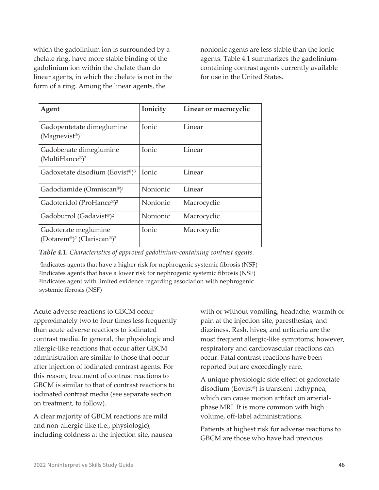which the gadolinium ion is surrounded by a chelate ring, have more stable binding of the gadolinium ion within the chelate than do linear agents, in which the chelate is not in the form of a ring. Among the linear agents, the

nonionic agents are less stable than the ionic agents. Table 4.1 summarizes the gadoliniumcontaining contrast agents currently available for use in the United States.

| Agent                                                                                  | Ionicity     | Linear or macrocyclic |
|----------------------------------------------------------------------------------------|--------------|-----------------------|
| Gadopentetate dimeglumine<br>(Magnevist <sup>®</sup> ) <sup>1</sup>                    | <b>Ionic</b> | Linear                |
| Gadobenate dimeglumine<br>(MultiHance®) <sup>2</sup>                                   | Ionic        | Linear                |
| Gadoxetate disodium (Eovist <sup>®</sup> ) <sup>3</sup>                                | Ionic        | Linear                |
| Gadodiamide (Omniscan®) <sup>1</sup>                                                   | Nonionic     | Linear                |
| Gadoteridol (ProHance®) <sup>2</sup>                                                   | Nonionic     | Macrocyclic           |
| Gadobutrol (Gadavist®) <sup>2</sup>                                                    | Nonionic     | Macrocyclic           |
| Gadoterate meglumine<br>(Dotarem <sup>®</sup> ) <sup>2</sup> (Clariscan®) <sup>2</sup> | Ionic        | Macrocyclic           |

*Table 4.1. Characteristics of approved gadolinium-containing contrast agents.*

1Indicates agents that have a higher risk for nephrogenic systemic fibrosis (NSF) 2Indicates agents that have a lower risk for nephrogenic systemic fibrosis (NSF) 3Indicates agent with limited evidence regarding association with nephrogenic systemic fibrosis (NSF)

Acute adverse reactions to GBCM occur approximately two to four times less frequently than acute adverse reactions to iodinated contrast media. In general, the physiologic and allergic-like reactions that occur after GBCM administration are similar to those that occur after injection of iodinated contrast agents. For this reason, treatment of contrast reactions to GBCM is similar to that of contrast reactions to iodinated contrast media (see separate section on treatment, to follow).

A clear majority of GBCM reactions are mild and non-allergic-like (i.e., physiologic), including coldness at the injection site, nausea with or without vomiting, headache, warmth or pain at the injection site, paresthesias, and dizziness. Rash, hives, and urticaria are the most frequent allergic-like symptoms; however, respiratory and cardiovascular reactions can occur. Fatal contrast reactions have been reported but are exceedingly rare.

A unique physiologic side effect of gadoxetate disodium (Eovist®) is transient tachypnea, which can cause motion artifact on arterialphase MRI. It is more common with high volume, off-label administrations.

Patients at highest risk for adverse reactions to GBCM are those who have had previous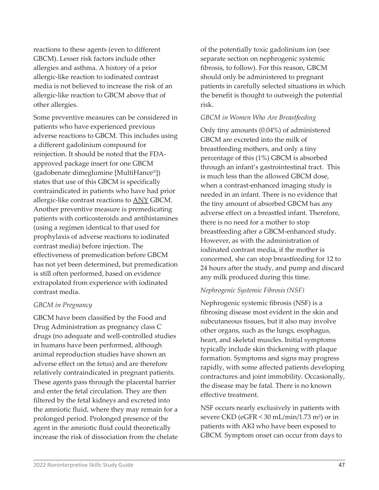reactions to these agents (even to different GBCM). Lesser risk factors include other allergies and asthma. A history of a prior allergic-like reaction to iodinated contrast media is not believed to increase the risk of an allergic-like reaction to GBCM above that of other allergies.

Some preventive measures can be considered in patients who have experienced previous adverse reactions to GBCM. This includes using a different gadolinium compound for reinjection. It should be noted that the FDAapproved package insert for one GBCM (gadobenate dimeglumine [MultiHance®]) states that use of this GBCM is specifically contraindicated in patients who have had prior allergic-like contrast reactions to ANY GBCM. Another preventive measure is premedicating patients with corticosteroids and antihistamines (using a regimen identical to that used for prophylaxis of adverse reactions to iodinated contrast media) before injection. The effectiveness of premedication before GBCM has not yet been determined, but premedication is still often performed, based on evidence extrapolated from experience with iodinated contrast media.

#### *GBCM in Pregnancy*

GBCM have been classified by the Food and Drug Administration as pregnancy class C drugs (no adequate and well-controlled studies in humans have been performed, although animal reproduction studies have shown an adverse effect on the fetus) and are therefore relatively contraindicated in pregnant patients. These agents pass through the placental barrier and enter the fetal circulation. They are then filtered by the fetal kidneys and excreted into the amniotic fluid, where they may remain for a prolonged period. Prolonged presence of the agent in the amniotic fluid could theoretically increase the risk of dissociation from the chelate

of the potentially toxic gadolinium ion (see separate section on nephrogenic systemic fibrosis, to follow). For this reason, GBCM should only be administered to pregnant patients in carefully selected situations in which the benefit is thought to outweigh the potential risk.

#### *GBCM in Women Who Are Breastfeeding*

Only tiny amounts (0.04%) of administered GBCM are excreted into the milk of breastfeeding mothers, and only a tiny percentage of this (1%) GBCM is absorbed through an infant's gastrointestinal tract. This is much less than the allowed GBCM dose, when a contrast-enhanced imaging study is needed in an infant. There is no evidence that the tiny amount of absorbed GBCM has any adverse effect on a breastfed infant. Therefore, there is no need for a mother to stop breastfeeding after a GBCM-enhanced study. However, as with the administration of iodinated contrast media, if the mother is concerned, she can stop breastfeeding for 12 to 24 hours after the study, and pump and discard any milk produced during this time.

#### *Nephrogenic Systemic Fibrosis (NSF)*

Nephrogenic systemic fibrosis (NSF) is a fibrosing disease most evident in the skin and subcutaneous tissues, but it also may involve other organs, such as the lungs, esophagus, heart, and skeletal muscles. Initial symptoms typically include skin thickening with plaque formation. Symptoms and signs may progress rapidly, with some affected patients developing contractures and joint immobility. Occasionally, the disease may be fatal. There is no known effective treatment.

NSF occurs nearly exclusively in patients with severe CKD (eGFR < 30 mL/min/1.73 m2) or in patients with AKI who have been exposed to GBCM. Symptom onset can occur from days to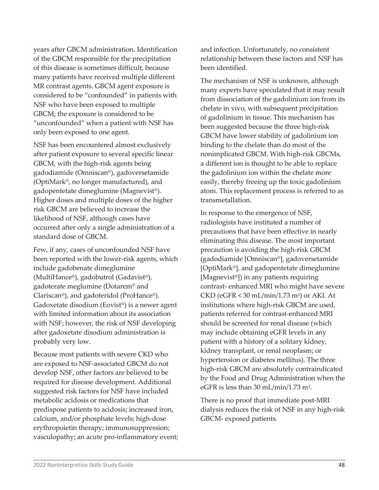years after GBCM administration. Identification of the GBCM responsible for the precipitation of this disease is sometimes difficult, because many patients have received multiple different MR contrast agents. GBCM agent exposure is considered to be "confounded" in patients with NSF who have been exposed to multiple GBCM; the exposure is considered to be "unconfounded" when a patient with NSF has only been exposed to one agent.

NSF has been encountered almost exclusively after patient exposure to several specific linear GBCM, with the high-risk agents being gadodiamide (Omniscan®), gadoversetamide (OptiMark®, no longer manufactured), and gadopentetate dimeglumine (Magnevist®). Higher doses and multiple doses of the higher risk GBCM are believed to increase the likelihood of NSF, although cases have occurred after only a single administration of a standard dose of GBCM.

Few, if any, cases of unconfounded NSF have been reported with the lower-risk agents, which include gadobenate dimeglumine (MultiHance®), gadobutrol (Gadavist®), gadoterate meglumine (Dotarem® and Clariscan®), and gadoteridol (ProHance®). Gadoxetate disodium (Eovist®) is a newer agent with limited information about its association with NSF; however, the risk of NSF developing after gadoxetate disodium administration is probably very low.

Because most patients with severe CKD who are exposed to NSF-associated GBCM do not develop NSF, other factors are believed to be required for disease development. Additional suggested risk factors for NSF have included metabolic acidosis or medications that predispose patients to acidosis; increased iron, calcium, and/or phosphate levels; high-dose erythropoietin therapy; immunosuppression; vasculopathy; an acute pro-inflammatory event; and infection. Unfortunately, no consistent relationship between these factors and NSF has been identified.

The mechanism of NSF is unknown, although many experts have speculated that it may result from dissociation of the gadolinium ion from its chelate in vivo, with subsequent precipitation of gadolinium in tissue. This mechanism has been suggested because the three high-risk GBCM have lower stability of gadolinium ion binding to the chelate than do most of the nonimplicated GBCM. With high-risk GBCMs, a different ion is thought to be able to replace the gadolinium ion within the chelate more easily, thereby freeing up the toxic gadolinium atom. This replacement process is referred to as transmetallation.

In response to the emergence of NSF, radiologists have instituted a number of precautions that have been effective in nearly eliminating this disease. The most important precaution is avoiding the high-risk GBCM (gadodiamide [Omniscan®], gadoversetamide [OptiMark®], and gadopentetate dimeglumine [Magnevist®]) in any patients requiring contrast- enhanced MRI who might have severe CKD (eGFR  $<$  30 mL/min/1.73 m<sup>2</sup>) or AKI. At institutions where high-risk GBCM are used, patients referred for contrast-enhanced MRI should be screened for renal disease (which may include obtaining eGFR levels in any patient with a history of a solitary kidney, kidney transplant, or renal neoplasm; or hypertension or diabetes mellitus). The three high-risk GBCM are absolutely contraindicated by the Food and Drug Administration when the eGFR is less than 30 mL/min/1.73 m2.

There is no proof that immediate post-MRI dialysis reduces the risk of NSF in any high-risk GBCM- exposed patients.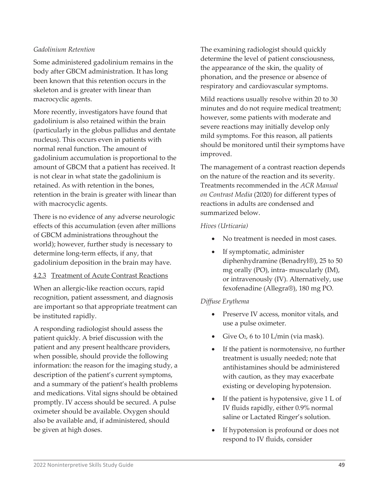#### *Gadolinium Retention*

Some administered gadolinium remains in the body after GBCM administration. It has long been known that this retention occurs in the skeleton and is greater with linear than macrocyclic agents.

More recently, investigators have found that gadolinium is also retained within the brain (particularly in the globus pallidus and dentate nucleus). This occurs even in patients with normal renal function. The amount of gadolinium accumulation is proportional to the amount of GBCM that a patient has received. It is not clear in what state the gadolinium is retained. As with retention in the bones, retention in the brain is greater with linear than with macrocyclic agents.

There is no evidence of any adverse neurologic effects of this accumulation (even after millions of GBCM administrations throughout the world); however, further study is necessary to determine long-term effects, if any, that gadolinium deposition in the brain may have.

#### 4.2.3 Treatment of Acute Contrast Reactions

When an allergic-like reaction occurs, rapid recognition, patient assessment, and diagnosis are important so that appropriate treatment can be instituted rapidly.

A responding radiologist should assess the patient quickly. A brief discussion with the patient and any present healthcare providers, when possible, should provide the following information: the reason for the imaging study, a description of the patient's current symptoms, and a summary of the patient's health problems and medications. Vital signs should be obtained promptly. IV access should be secured. A pulse oximeter should be available. Oxygen should also be available and, if administered, should be given at high doses.

The examining radiologist should quickly determine the level of patient consciousness, the appearance of the skin, the quality of phonation, and the presence or absence of respiratory and cardiovascular symptoms.

Mild reactions usually resolve within 20 to 30 minutes and do not require medical treatment; however, some patients with moderate and severe reactions may initially develop only mild symptoms. For this reason, all patients should be monitored until their symptoms have improved.

The management of a contrast reaction depends on the nature of the reaction and its severity. Treatments recommended in the *ACR Manual on Contrast Media* (2020) for different types of reactions in adults are condensed and summarized below.

#### *Hives (Urticaria)*

- No treatment is needed in most cases.
- If symptomatic, administer diphenhydramine (Benadryl®), 25 to 50 mg orally (PO), intra- muscularly (IM), or intravenously (IV). Alternatively, use fexofenadine (Allegra®), 180 mg PO.

#### *Diffuse Erythema*

- Preserve IV access, monitor vitals, and use a pulse oximeter.
- Give  $O_2$ , 6 to 10 L/min (via mask).
- If the patient is normotensive, no further treatment is usually needed; note that antihistamines should be administered with caution, as they may exacerbate existing or developing hypotension.
- If the patient is hypotensive, give 1 L of IV fluids rapidly, either 0.9% normal saline or Lactated Ringer's solution.
- If hypotension is profound or does not respond to IV fluids, consider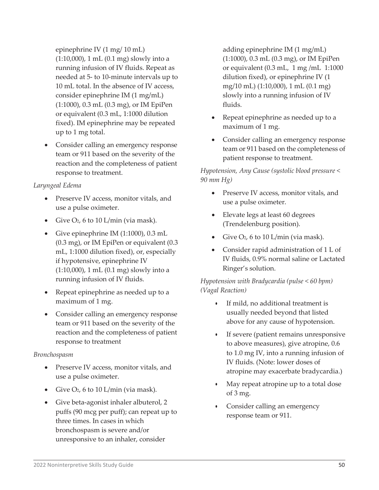epinephrine IV (1 mg/ 10 mL) (1:10,000), 1 mL (0.1 mg) slowly into a running infusion of IV fluids. Repeat as needed at 5- to 10-minute intervals up to 10 mL total. In the absence of IV access, consider epinephrine IM (1 mg/mL) (1:1000), 0.3 mL (0.3 mg), or IM EpiPen or equivalent (0.3 mL, 1:1000 dilution fixed). IM epinephrine may be repeated up to 1 mg total.

• Consider calling an emergency response team or 911 based on the severity of the reaction and the completeness of patient response to treatment.

#### *Laryngeal Edema*

- Preserve IV access, monitor vitals, and use a pulse oximeter.
- Give  $O_2$ , 6 to 10 L/min (via mask).
- Give epinephrine IM (1:1000), 0.3 mL (0.3 mg), or IM EpiPen or equivalent (0.3 mL, 1:1000 dilution fixed), or, especially if hypotensive, epinephrine IV (1:10,000), 1 mL (0.1 mg) slowly into a running infusion of IV fluids.
- Repeat epinephrine as needed up to a maximum of 1 mg.
- Consider calling an emergency response team or 911 based on the severity of the reaction and the completeness of patient response to treatment

#### *Bronchospasm*

- Preserve IV access, monitor vitals, and use a pulse oximeter.
- Give  $O_2$ , 6 to 10 L/min (via mask).
- Give beta-agonist inhaler albuterol, 2 puffs (90 mcg per puff); can repeat up to three times. In cases in which bronchospasm is severe and/or unresponsive to an inhaler, consider

adding epinephrine IM (1 mg/mL) (1:1000), 0.3 mL (0.3 mg), or IM EpiPen or equivalent (0.3 mL, 1 mg /mL 1:1000 dilution fixed), or epinephrine IV (1 mg/10 mL) (1:10,000), 1 mL (0.1 mg) slowly into a running infusion of IV fluids.

- Repeat epinephrine as needed up to a maximum of 1 mg.
- Consider calling an emergency response team or 911 based on the completeness of patient response to treatment.

*Hypotension, Any Cause (systolic blood pressure < 90 mm Hg)*

- Preserve IV access, monitor vitals, and use a pulse oximeter.
- Elevate legs at least 60 degrees (Trendelenburg position).
- Give  $O_2$ , 6 to 10 L/min (via mask).
- Consider rapid administration of 1 L of IV fluids, 0.9% normal saline or Lactated Ringer's solution.

*Hypotension with Bradycardia (pulse < 60 bpm) (Vagal Reaction)*

- If mild, no additional treatment is usually needed beyond that listed above for any cause of hypotension.
- If severe (patient remains unresponsive to above measures), give atropine, 0.6 to 1.0 mg IV, into a running infusion of IV fluids. (Note: lower doses of atropine may exacerbate bradycardia.)
- May repeat atropine up to a total dose of 3 mg.
- Consider calling an emergency response team or 911.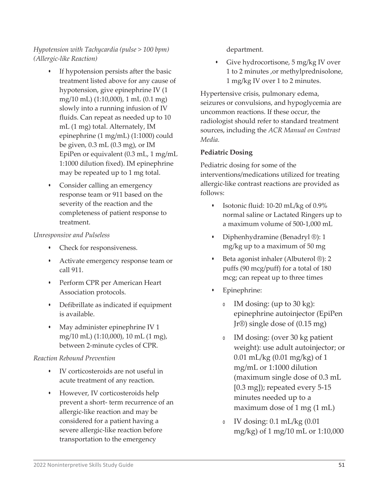## *Hypotension with Tachycardia (pulse > 100 bpm) (Allergic-like Reaction)*

- If hypotension persists after the basic treatment listed above for any cause of hypotension, give epinephrine IV (1 mg/10 mL) (1:10,000), 1 mL (0.1 mg) slowly into a running infusion of IV fluids. Can repeat as needed up to 10 mL (1 mg) total. Alternately, IM epinephrine (1 mg/mL) (1:1000) could be given, 0.3 mL (0.3 mg), or IM EpiPen or equivalent (0.3 mL, 1 mg/mL 1:1000 dilution fixed). IM epinephrine may be repeated up to 1 mg total.
- Consider calling an emergency response team or 911 based on the severity of the reaction and the completeness of patient response to treatment.

#### *Unresponsive and Pulseless*

- Check for responsiveness.
- Activate emergency response team or call 911.
- Perform CPR per American Heart Association protocols.
- Defibrillate as indicated if equipment is available.
- May administer epinephrine IV 1 mg/10 mL) (1:10,000), 10 mL (1 mg), between 2-minute cycles of CPR.

### *Reaction Rebound Prevention*

- IV corticosteroids are not useful in acute treatment of any reaction.
- However, IV corticosteroids help prevent a short- term recurrence of an allergic-like reaction and may be considered for a patient having a severe allergic-like reaction before transportation to the emergency

department.

• Give hydrocortisone, 5 mg/kg IV over 1 to 2 minutes ,or methylprednisolone, 1 mg/kg IV over 1 to 2 minutes.

Hypertensive crisis, pulmonary edema, seizures or convulsions, and hypoglycemia are uncommon reactions. If these occur, the radiologist should refer to standard treatment sources, including the *ACR Manual on Contrast Media.*

## **Pediatric Dosing**

Pediatric dosing for some of the interventions/medications utilized for treating allergic-like contrast reactions are provided as follows:

- Isotonic fluid: 10-20 mL/kg of 0.9% normal saline or Lactated Ringers up to a maximum volume of 500-1,000 mL
- Diphenhydramine (Benadryl ®): 1 mg/kg up to a maximum of 50 mg
- Beta agonist inhaler (Albuterol ®): 2 puffs (90 mcg/puff) for a total of 180 mcg; can repeat up to three times
- Epinephrine:
	- <sup>o</sup> IM dosing: (up to 30 kg): epinephrine autoinjector (EpiPen Jr®) single dose of (0.15 mg)
	- <sup>o</sup> IM dosing: (over 30 kg patient weight): use adult autoinjector; or 0.01 mL/kg (0.01 mg/kg) of 1 mg/mL or 1:1000 dilution (maximum single dose of 0.3 mL [0.3 mg]); repeated every 5-15 minutes needed up to a maximum dose of 1 mg (1 mL)
	- <sup>o</sup> IV dosing: 0.1 mL/kg (0.01 mg/kg) of 1 mg/10 mL or 1:10,000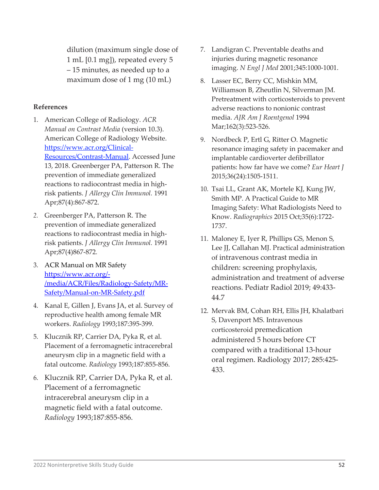dilution (maximum single dose of 1 mL [0.1 mg]), repeated every 5 – 15 minutes, as needed up to a maximum dose of 1 mg (10 mL)

### **References**

- 1. American College of Radiology. *ACR Manual on Contrast Media* (version 10.3). American College of Radiology Website. [https://www.acr.org/Clinical-](https://www.acr.org/Clinical-Resources/Contrast-Manual)[Resources/Contrast-Manual.](https://www.acr.org/Clinical-Resources/Contrast-Manual) Accessed June 13, 2018. Greenberger PA, Patterson R. The prevention of immediate generalized reactions to radiocontrast media in highrisk patients. *J Allergy Clin Immunol.* 1991 Apr;87(4):867-872.
- *2.* Greenberger PA, Patterson R. The prevention of immediate generalized reactions to radiocontrast media in highrisk patients. *J Allergy Clin Immunol.* 1991 Apr;87(4)867-872*.*
- 3. ACR Manual on MR Safety [https://www.acr.org/-](https://www.acr.org/-/media/ACR/Files/Radiology-Safety/MR-Safety/Manual-on-MR-Safety.pdf) [/media/ACR/Files/Radiology-Safety/MR-](https://www.acr.org/-/media/ACR/Files/Radiology-Safety/MR-Safety/Manual-on-MR-Safety.pdf)[Safety/Manual-on-MR-Safety.pdf](https://www.acr.org/-/media/ACR/Files/Radiology-Safety/MR-Safety/Manual-on-MR-Safety.pdf)
- 4. Kanal E, Gillen J, Evans JA, et al. Survey of reproductive health among female MR workers. *Radiology* 1993;187:395-399.
- 5. Klucznik RP, Carrier DA, Pyka R, et al. Placement of a ferromagnetic intracerebral aneurysm clip in a magnetic field with a fatal outcome. *Radiology* 1993;187:855-856.
- 6. Klucznik RP, Carrier DA, Pyka R, et al. Placement of a ferromagnetic intracerebral aneurysm clip in a magnetic field with a fatal outcome. *Radiology* 1993;187:855-856.
- 7. Landigran C. Preventable deaths and injuries during magnetic resonance imaging. *N Engl J Med* 2001;345:1000-1001.
- 8. Lasser EC, Berry CC, Mishkin MM, Williamson B, Zheutlin N, Silverman JM. Pretreatment with corticosteroids to prevent adverse reactions to nonionic contrast media. *AJR Am J Roentgenol* 1994 Mar;162(3):523-526.
- 9. Nordbeck P, Ertl G, Ritter O. Magnetic resonance imaging safety in pacemaker and implantable cardioverter defibrillator patients: how far have we come? *Eur Heart J* 2015;36(24):1505-1511.
- 10. Tsai LL, Grant AK, Mortele KJ, Kung JW, Smith MP. A Practical Guide to MR Imaging Safety: What Radiologists Need to Know. *Radiographics* 2015 Oct;35(6):1722- 1737.
- 11. Maloney E, Iyer R, Phillips GS, Menon S, Lee JJ, Callahan MJ. Practical administration of intravenous contrast media in children: screening prophylaxis, administration and treatment of adverse reactions. Pediatr Radiol 2019; 49:433- 44.7
- 12. Mervak BM, Cohan RH, Ellis JH, Khalatbari S, Davenport MS. Intravenous corticosteroid premedication administered 5 hours before CT compared with a traditional 13-hour oral regimen. Radiology 2017; 285:425- 433.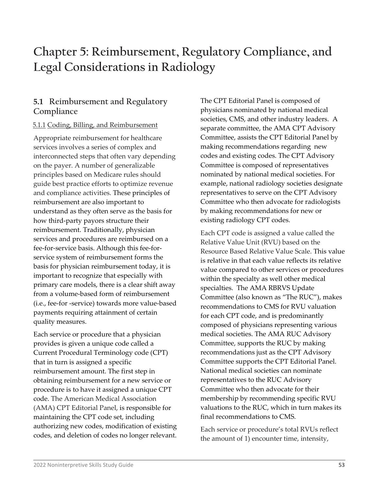# **Chapter 5: Reimbursement, Regulatory Compliance, and Legal Considerations in Radiology**

# **5.1 Reimbursement and Regulatory Compliance**

## 5.1.1 Coding, Billing, and Reimbursement

Appropriate reimbursement for healthcare services involves a series of complex and interconnected steps that often vary depending on the payer. A number of generalizable principles based on Medicare rules should guide best practice efforts to optimize revenue and compliance activities. These principles of reimbursement are also important to understand as they often serve as the basis for how third-party payors structure their reimbursement. Traditionally, physician services and procedures are reimbursed on a fee-for-service basis. Although this fee-forservice system of reimbursement forms the basis for physician reimbursement today, it is important to recognize that especially with primary care models, there is a clear shift away from a volume-based form of reimbursement (i.e., fee-for -service) towards more value-based payments requiring attainment of certain quality measures.

Each service or procedure that a physician provides is given a unique code called a Current Procedural Terminology code (CPT) that in turn is assigned a specific reimbursement amount. The first step in obtaining reimbursement for a new service or procedure is to have it assigned a unique CPT code. The American Medical Association (AMA) CPT Editorial Panel, is responsible for maintaining the CPT code set, including authorizing new codes, modification of existing codes, and deletion of codes no longer relevant.

The CPT Editorial Panel is composed of physicians nominated by national medical societies, CMS, and other industry leaders. A separate committee, the AMA CPT Advisory Committee, assists the CPT Editorial Panel by making recommendations regarding new codes and existing codes. The CPT Advisory Committee is composed of representatives nominated by national medical societies. For example, national radiology societies designate representatives to serve on the CPT Advisory Committee who then advocate for radiologists by making recommendations for new or existing radiology CPT codes.

Each CPT code is assigned a value called the Relative Value Unit (RVU) based on the Resource Based Relative Value Scale. This value is relative in that each value reflects its relative value compared to other services or procedures within the specialty as well other medical specialties. The AMA RBRVS Update Committee (also known as "The RUC"), makes recommendations to CMS for RVU valuation for each CPT code, and is predominantly composed of physicians representing various medical societies. The AMA RUC Advisory Committee, supports the RUC by making recommendations just as the CPT Advisory Committee supports the CPT Editorial Panel. National medical societies can nominate representatives to the RUC Advisory Committee who then advocate for their membership by recommending specific RVU valuations to the RUC, which in turn makes its final recommendations to CMS.

Each service or procedure's total RVUs reflect the amount of 1) encounter time, intensity,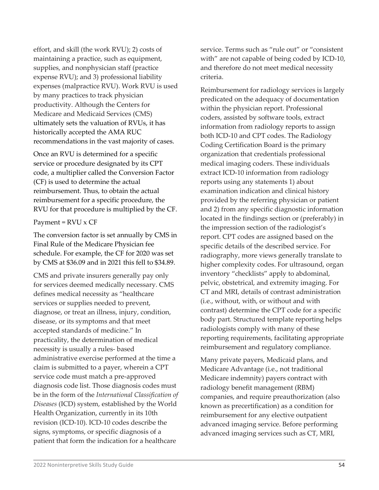effort, and skill (the work RVU); 2) costs of maintaining a practice, such as equipment, supplies, and nonphysician staff (practice expense RVU); and 3) professional liability expenses (malpractice RVU). Work RVU is used by many practices to track physician productivity. Although the Centers for Medicare and Medicaid Services (CMS) ultimately sets the valuation of RVUs, it has historically accepted the AMA RUC recommendations in the vast majority of cases.

Once an RVU is determined for a specific service or procedure designated by its CPT code, a multiplier called the Conversion Factor (CF) is used to determine the actual reimbursement. Thus, to obtain the actual reimbursement for a specific procedure, the RVU for that procedure is multiplied by the CF.

#### Payment =  $RVU \times CF$

The conversion factor is set annually by CMS in Final Rule of the Medicare Physician fee schedule. For example, the CF for 2020 was set by CMS at \$36.09 and in 2021 this fell to \$34.89.

CMS and private insurers generally pay only for services deemed medically necessary. CMS defines medical necessity as "healthcare services or supplies needed to prevent, diagnose, or treat an illness, injury, condition, disease, or its symptoms and that meet accepted standards of medicine." In practicality, the determination of medical necessity is usually a rules- based administrative exercise performed at the time a claim is submitted to a payer, wherein a CPT service code must match a pre-approved diagnosis code list. Those diagnosis codes must be in the form of the *International Classification of Diseases* (ICD) system, established by the World Health Organization, currently in its 10th revision (ICD-10). ICD-10 codes describe the signs, symptoms, or specific diagnosis of a patient that form the indication for a healthcare

service. Terms such as "rule out" or "consistent with" are not capable of being coded by ICD-10, and therefore do not meet medical necessity criteria.

Reimbursement for radiology services is largely predicated on the adequacy of documentation within the physician report. Professional coders, assisted by software tools, extract information from radiology reports to assign both ICD-10 and CPT codes. The Radiology Coding Certification Board is the primary organization that credentials professional medical imaging coders. These individuals extract ICD-10 information from radiology reports using any statements 1) about examination indication and clinical history provided by the referring physician or patient and 2) from any specific diagnostic information located in the findings section or (preferably) in the impression section of the radiologist's report. CPT codes are assigned based on the specific details of the described service. For radiography, more views generally translate to higher complexity codes. For ultrasound, organ inventory "checklists" apply to abdominal, pelvic, obstetrical, and extremity imaging. For CT and MRI, details of contrast administration (i.e., without, with, or without and with contrast) determine the CPT code for a specific body part. Structured template reporting helps radiologists comply with many of these reporting requirements, facilitating appropriate reimbursement and regulatory compliance.

Many private payers, Medicaid plans, and Medicare Advantage (i.e., not traditional Medicare indemnity) payers contract with radiology benefit management (RBM) companies, and require preauthorization (also known as precertification) as a condition for reimbursement for any elective outpatient advanced imaging service. Before performing advanced imaging services such as CT, MRI,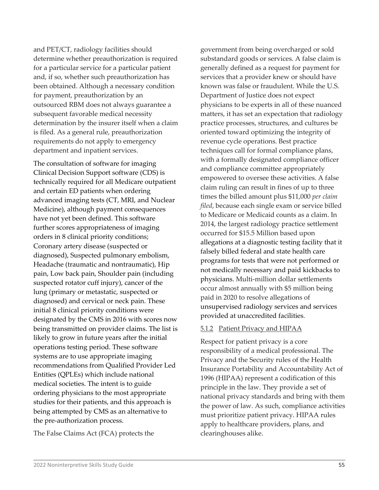and PET/CT, radiology facilities should determine whether preauthorization is required for a particular service for a particular patient and, if so, whether such preauthorization has been obtained. Although a necessary condition for payment, preauthorization by an outsourced RBM does not always guarantee a subsequent favorable medical necessity determination by the insurer itself when a claim is filed. As a general rule, preauthorization requirements do not apply to emergency department and inpatient services.

The consultation of software for imaging Clinical Decision Support software (CDS) is technically required for all Medicare outpatient and certain ED patients when ordering advanced imaging tests (CT, MRI, and Nuclear Medicine), although payment consequences have not yet been defined. This software further scores appropriateness of imaging orders in 8 clinical priority conditions; Coronary artery disease (suspected or diagnosed), Suspected pulmonary embolism, Headache (traumatic and nontraumatic), Hip pain, Low back pain, Shoulder pain (including suspected rotator cuff injury), cancer of the lung (primary or metastatic, suspected or diagnosed) and cervical or neck pain. These initial 8 clinical priority conditions were designated by the CMS in 2016 with scores now being transmitted on provider claims. The list is likely to grow in future years after the initial operations testing period. These software systems are to use appropriate imaging recommendations from Qualified Provider Led Entities (QPLEs) which include national medical societies. The intent is to guide ordering physicians to the most appropriate studies for their patients, and this approach is being attempted by CMS as an alternative to the pre-authorization process.

The False Claims Act (FCA) protects the

government from being overcharged or sold substandard goods or services. A false claim is generally defined as a request for payment for services that a provider knew or should have known was false or fraudulent. While the U.S. Department of Justice does not expect physicians to be experts in all of these nuanced matters, it has set an expectation that radiology practice processes, structures, and cultures be oriented toward optimizing the integrity of revenue cycle operations. Best practice techniques call for formal compliance plans, with a formally designated compliance officer and compliance committee appropriately empowered to oversee these activities. A false claim ruling can result in fines of up to three times the billed amount plus \$11,000 *per claim filed*, because each single exam or service billed to Medicare or Medicaid counts as a claim. In 2014, the largest radiology practice settlement occurred for \$15.5 Million based upon allegations at a diagnostic testing facility that it falsely billed federal and state health care programs for tests that were not performed or not medically necessary and paid kickbacks to physicians. Multi-million dollar settlements occur almost annually with \$5 million being paid in 2020 to resolve allegations of unsupervised radiology services and services provided at unaccredited facilities.

#### 5.1.2 Patient Privacy and HIPAA

Respect for patient privacy is a core responsibility of a medical professional. The Privacy and the Security rules of the Health Insurance Portability and Accountability Act of 1996 (HIPAA) represent a codification of this principle in the law. They provide a set of national privacy standards and bring with them the power of law. As such, compliance activities must prioritize patient privacy. HIPAA rules apply to healthcare providers, plans, and clearinghouses alike.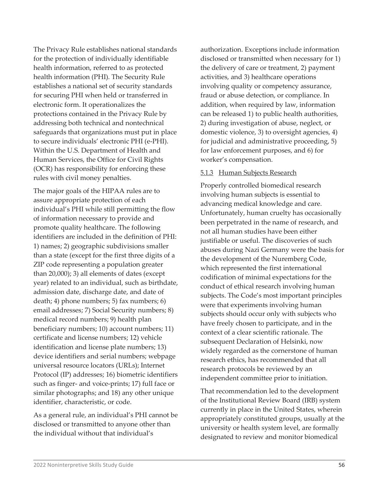The Privacy Rule establishes national standards for the protection of individually identifiable health information, referred to as protected health information (PHI). The Security Rule establishes a national set of security standards for securing PHI when held or transferred in electronic form. It operationalizes the protections contained in the Privacy Rule by addressing both technical and nontechnical safeguards that organizations must put in place to secure individuals' electronic PHI (e-PHI). Within the U.S. Department of Health and Human Services, the Office for Civil Rights (OCR) has responsibility for enforcing these rules with civil money penalties.

The major goals of the HIPAA rules are to assure appropriate protection of each individual's PHI while still permitting the flow of information necessary to provide and promote quality healthcare. The following identifiers are included in the definition of PHI: 1) names; 2) geographic subdivisions smaller than a state (except for the first three digits of a ZIP code representing a population greater than 20,000); 3) all elements of dates (except year) related to an individual, such as birthdate, admission date, discharge date, and date of death; 4) phone numbers; 5) fax numbers; 6) email addresses; 7) Social Security numbers; 8) medical record numbers; 9) health plan beneficiary numbers; 10) account numbers; 11) certificate and license numbers; 12) vehicle identification and license plate numbers; 13) device identifiers and serial numbers; webpage universal resource locators (URLs); Internet Protocol (IP) addresses; 16) biometric identifiers such as finger- and voice-prints; 17) full face or similar photographs; and 18) any other unique identifier, characteristic, or code.

As a general rule, an individual's PHI cannot be disclosed or transmitted to anyone other than the individual without that individual's

authorization. Exceptions include information disclosed or transmitted when necessary for 1) the delivery of care or treatment, 2) payment activities, and 3) healthcare operations involving quality or competency assurance, fraud or abuse detection, or compliance. In addition, when required by law, information can be released 1) to public health authorities, 2) during investigation of abuse, neglect, or domestic violence, 3) to oversight agencies, 4) for judicial and administrative proceeding, 5) for law enforcement purposes, and 6) for worker's compensation.

#### 5.1.3 Human Subjects Research

Properly controlled biomedical research involving human subjects is essential to advancing medical knowledge and care. Unfortunately, human cruelty has occasionally been perpetrated in the name of research, and not all human studies have been either justifiable or useful. The discoveries of such abuses during Nazi Germany were the basis for the development of the Nuremberg Code, which represented the first international codification of minimal expectations for the conduct of ethical research involving human subjects. The Code's most important principles were that experiments involving human subjects should occur only with subjects who have freely chosen to participate, and in the context of a clear scientific rationale. The subsequent Declaration of Helsinki, now widely regarded as the cornerstone of human research ethics, has recommended that all research protocols be reviewed by an independent committee prior to initiation.

That recommendation led to the development of the Institutional Review Board (IRB) system currently in place in the United States, wherein appropriately constituted groups, usually at the university or health system level, are formally designated to review and monitor biomedical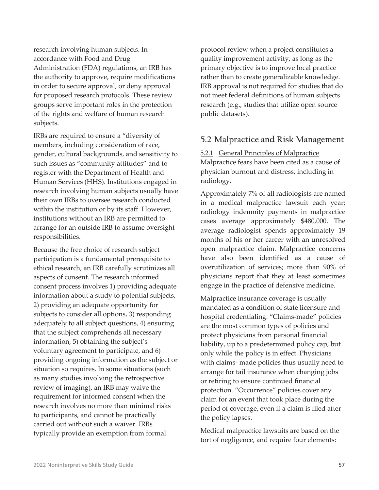research involving human subjects. In accordance with Food and Drug Administration (FDA) regulations, an IRB has the authority to approve, require modifications in order to secure approval, or deny approval for proposed research protocols. These review groups serve important roles in the protection of the rights and welfare of human research subjects.

IRBs are required to ensure a "diversity of members, including consideration of race, gender, cultural backgrounds, and sensitivity to such issues as "community attitudes" and to register with the Department of Health and Human Services (HHS). Institutions engaged in research involving human subjects usually have their own IRBs to oversee research conducted within the institution or by its staff. However, institutions without an IRB are permitted to arrange for an outside IRB to assume oversight responsibilities.

Because the free choice of research subject participation is a fundamental prerequisite to ethical research, an IRB carefully scrutinizes all aspects of consent. The research informed consent process involves 1) providing adequate information about a study to potential subjects, 2) providing an adequate opportunity for subjects to consider all options, 3) responding adequately to all subject questions, 4) ensuring that the subject comprehends all necessary information, 5) obtaining the subject's voluntary agreement to participate, and 6) providing ongoing information as the subject or situation so requires. In some situations (such as many studies involving the retrospective review of imaging), an IRB may waive the requirement for informed consent when the research involves no more than minimal risks to participants, and cannot be practically carried out without such a waiver. IRBs typically provide an exemption from formal

protocol review when a project constitutes a quality improvement activity, as long as the primary objective is to improve local practice rather than to create generalizable knowledge. IRB approval is not required for studies that do not meet federal definitions of human subjects research (e.g., studies that utilize open source public datasets).

# **5.2 Malpractice and Risk Management**

5.2.1 General Principles of Malpractice Malpractice fears have been cited as a cause of physician burnout and distress, including in radiology.

Approximately 7% of all radiologists are named in a medical malpractice lawsuit each year; radiology indemnity payments in malpractice cases average approximately \$480,000. The average radiologist spends approximately 19 months of his or her career with an unresolved open malpractice claim. Malpractice concerns have also been identified as a cause of overutilization of services; more than 90% of physicians report that they at least sometimes engage in the practice of defensive medicine.

Malpractice insurance coverage is usually mandated as a condition of state licensure and hospital credentialing. "Claims-made" policies are the most common types of policies and protect physicians from personal financial liability, up to a predetermined policy cap, but only while the policy is in effect. Physicians with claims- made policies thus usually need to arrange for tail insurance when changing jobs or retiring to ensure continued financial protection. "Occurrence" policies cover any claim for an event that took place during the period of coverage, even if a claim is filed after the policy lapses.

Medical malpractice lawsuits are based on the tort of negligence, and require four elements: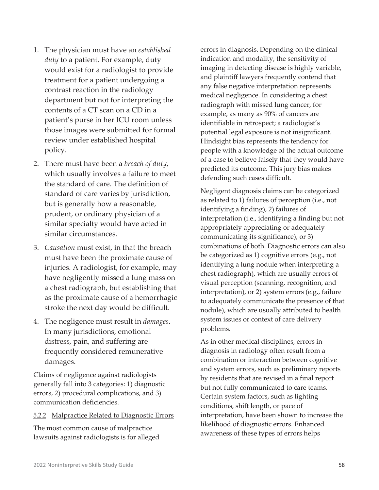- 1. The physician must have an *established duty* to a patient. For example, duty would exist for a radiologist to provide treatment for a patient undergoing a contrast reaction in the radiology department but not for interpreting the contents of a CT scan on a CD in a patient's purse in her ICU room unless those images were submitted for formal review under established hospital policy.
- 2. There must have been a *breach of duty*, which usually involves a failure to meet the standard of care. The definition of standard of care varies by jurisdiction, but is generally how a reasonable, prudent, or ordinary physician of a similar specialty would have acted in similar circumstances.
- 3. *Causation* must exist, in that the breach must have been the proximate cause of injuries. A radiologist, for example, may have negligently missed a lung mass on a chest radiograph, but establishing that as the proximate cause of a hemorrhagic stroke the next day would be difficult.
- 4. The negligence must result in *damages*. In many jurisdictions, emotional distress, pain, and suffering are frequently considered remunerative damages.

Claims of negligence against radiologists generally fall into 3 categories: 1) diagnostic errors, 2) procedural complications, and 3) communication deficiencies.

#### 5.2.2 Malpractice Related to Diagnostic Errors

The most common cause of malpractice lawsuits against radiologists is for alleged errors in diagnosis. Depending on the clinical indication and modality, the sensitivity of imaging in detecting disease is highly variable, and plaintiff lawyers frequently contend that any false negative interpretation represents medical negligence. In considering a chest radiograph with missed lung cancer, for example, as many as 90% of cancers are identifiable in retrospect; a radiologist's potential legal exposure is not insignificant. Hindsight bias represents the tendency for people with a knowledge of the actual outcome of a case to believe falsely that they would have predicted its outcome. This jury bias makes defending such cases difficult.

Negligent diagnosis claims can be categorized as related to 1) failures of perception (i.e., not identifying a finding), 2) failures of interpretation (i.e., identifying a finding but not appropriately appreciating or adequately communicating its significance), or 3) combinations of both. Diagnostic errors can also be categorized as 1) cognitive errors (e.g., not identifying a lung nodule when interpreting a chest radiograph), which are usually errors of visual perception (scanning, recognition, and interpretation), or 2) system errors (e.g., failure to adequately communicate the presence of that nodule), which are usually attributed to health system issues or context of care delivery problems.

As in other medical disciplines, errors in diagnosis in radiology often result from a combination or interaction between cognitive and system errors, such as preliminary reports by residents that are revised in a final report but not fully communicated to care teams. Certain system factors, such as lighting conditions, shift length, or pace of interpretation, have been shown to increase the likelihood of diagnostic errors. Enhanced awareness of these types of errors helps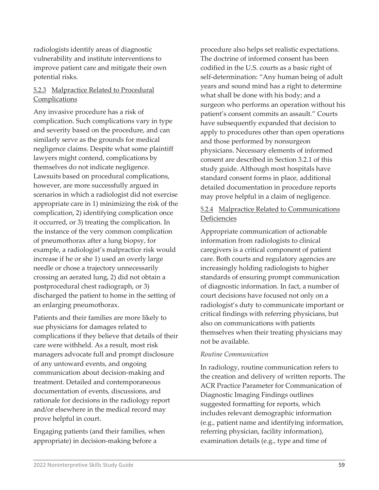radiologists identify areas of diagnostic vulnerability and institute interventions to improve patient care and mitigate their own potential risks.

## 5.2.3 Malpractice Related to Procedural **Complications**

Any invasive procedure has a risk of complication. Such complications vary in type and severity based on the procedure, and can similarly serve as the grounds for medical negligence claims. Despite what some plaintiff lawyers might contend, complications by themselves do not indicate negligence. Lawsuits based on procedural complications, however, are more successfully argued in scenarios in which a radiologist did not exercise appropriate care in 1) minimizing the risk of the complication, 2) identifying complication once it occurred, or 3) treating the complication. In the instance of the very common complication of pneumothorax after a lung biopsy, for example, a radiologist's malpractice risk would increase if he or she 1) used an overly large needle or chose a trajectory unnecessarily crossing an aerated lung, 2) did not obtain a postprocedural chest radiograph, or 3) discharged the patient to home in the setting of an enlarging pneumothorax.

Patients and their families are more likely to sue physicians for damages related to complications if they believe that details of their care were withheld. As a result, most risk managers advocate full and prompt disclosure of any untoward events, and ongoing communication about decision-making and treatment. Detailed and contemporaneous documentation of events, discussions, and rationale for decisions in the radiology report and/or elsewhere in the medical record may prove helpful in court.

Engaging patients (and their families, when appropriate) in decision-making before a

procedure also helps set realistic expectations. The doctrine of informed consent has been codified in the U.S. courts as a basic right of self-determination: "Any human being of adult years and sound mind has a right to determine what shall be done with his body; and a surgeon who performs an operation without his patient's consent commits an assault." Courts have subsequently expanded that decision to apply to procedures other than open operations and those performed by nonsurgeon physicians. Necessary elements of informed consent are described in Section 3.2.1 of this study guide. Although most hospitals have standard consent forms in place, additional detailed documentation in procedure reports may prove helpful in a claim of negligence.

## 5.2.4 Malpractice Related to Communications Deficiencies

Appropriate communication of actionable information from radiologists to clinical caregivers is a critical component of patient care. Both courts and regulatory agencies are increasingly holding radiologists to higher standards of ensuring prompt communication of diagnostic information. In fact, a number of court decisions have focused not only on a radiologist's duty to communicate important or critical findings with referring physicians, but also on communications with patients themselves when their treating physicians may not be available.

#### *Routine Communication*

In radiology, routine communication refers to the creation and delivery of written reports. The ACR Practice Parameter for Communication of Diagnostic Imaging Findings outlines suggested formatting for reports, which includes relevant demographic information (e.g., patient name and identifying information, referring physician, facility information), examination details (e.g., type and time of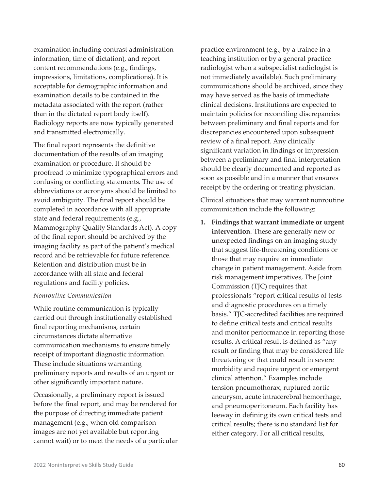examination including contrast administration information, time of dictation), and report content recommendations (e.g., findings, impressions, limitations, complications). It is acceptable for demographic information and examination details to be contained in the metadata associated with the report (rather than in the dictated report body itself). Radiology reports are now typically generated and transmitted electronically.

The final report represents the definitive documentation of the results of an imaging examination or procedure. It should be proofread to minimize typographical errors and confusing or conflicting statements. The use of abbreviations or acronyms should be limited to avoid ambiguity. The final report should be completed in accordance with all appropriate state and federal requirements (e.g., Mammography Quality Standards Act). A copy of the final report should be archived by the imaging facility as part of the patient's medical record and be retrievable for future reference. Retention and distribution must be in accordance with all state and federal regulations and facility policies.

#### *Nonroutine Communication*

While routine communication is typically carried out through institutionally established final reporting mechanisms, certain circumstances dictate alternative communication mechanisms to ensure timely receipt of important diagnostic information. These include situations warranting preliminary reports and results of an urgent or other significantly important nature.

Occasionally, a preliminary report is issued before the final report, and may be rendered for the purpose of directing immediate patient management (e.g., when old comparison images are not yet available but reporting cannot wait) or to meet the needs of a particular practice environment (e.g., by a trainee in a teaching institution or by a general practice radiologist when a subspecialist radiologist is not immediately available). Such preliminary communications should be archived, since they may have served as the basis of immediate clinical decisions. Institutions are expected to maintain policies for reconciling discrepancies between preliminary and final reports and for discrepancies encountered upon subsequent review of a final report. Any clinically significant variation in findings or impression between a preliminary and final interpretation should be clearly documented and reported as soon as possible and in a manner that ensures receipt by the ordering or treating physician.

Clinical situations that may warrant nonroutine communication include the following:

**1. Findings that warrant immediate or urgent intervention**. These are generally new or unexpected findings on an imaging study that suggest life-threatening conditions or those that may require an immediate change in patient management. Aside from risk management imperatives, The Joint Commission (TJC) requires that professionals "report critical results of tests and diagnostic procedures on a timely basis." TJC-accredited facilities are required to define critical tests and critical results and monitor performance in reporting those results. A critical result is defined as "any result or finding that may be considered life threatening or that could result in severe morbidity and require urgent or emergent clinical attention." Examples include tension pneumothorax, ruptured aortic aneurysm, acute intracerebral hemorrhage, and pneumoperitoneum. Each facility has leeway in defining its own critical tests and critical results; there is no standard list for either category. For all critical results,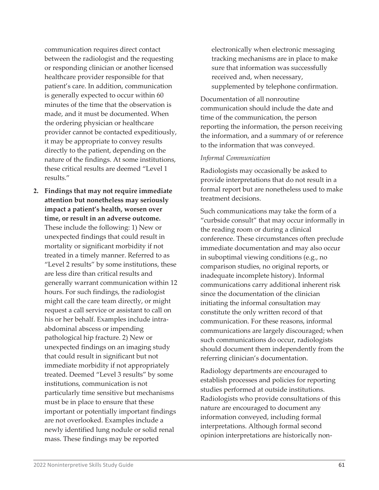communication requires direct contact between the radiologist and the requesting or responding clinician or another licensed healthcare provider responsible for that patient's care. In addition, communication is generally expected to occur within 60 minutes of the time that the observation is made, and it must be documented. When the ordering physician or healthcare provider cannot be contacted expeditiously, it may be appropriate to convey results directly to the patient, depending on the nature of the findings. At some institutions, these critical results are deemed "Level 1 results."

**2. Findings that may not require immediate attention but nonetheless may seriously impact a patient's health, worsen over time, or result in an adverse outcome.**  These include the following: 1) New or unexpected findings that could result in mortality or significant morbidity if not treated in a timely manner. Referred to as "Level 2 results" by some institutions, these are less dire than critical results and generally warrant communication within 12 hours. For such findings, the radiologist might call the care team directly, or might request a call service or assistant to call on his or her behalf. Examples include intraabdominal abscess or impending pathological hip fracture. 2) New or unexpected findings on an imaging study that could result in significant but not immediate morbidity if not appropriately treated. Deemed "Level 3 results" by some institutions, communication is not particularly time sensitive but mechanisms must be in place to ensure that these important or potentially important findings are not overlooked. Examples include a newly identified lung nodule or solid renal mass. These findings may be reported

electronically when electronic messaging tracking mechanisms are in place to make sure that information was successfully received and, when necessary, supplemented by telephone confirmation.

Documentation of all nonroutine communication should include the date and time of the communication, the person reporting the information, the person receiving the information, and a summary of or reference to the information that was conveyed.

#### *Informal Communication*

Radiologists may occasionally be asked to provide interpretations that do not result in a formal report but are nonetheless used to make treatment decisions.

Such communications may take the form of a "curbside consult" that may occur informally in the reading room or during a clinical conference. These circumstances often preclude immediate documentation and may also occur in suboptimal viewing conditions (e.g., no comparison studies, no original reports, or inadequate incomplete history). Informal communications carry additional inherent risk since the documentation of the clinician initiating the informal consultation may constitute the only written record of that communication. For these reasons, informal communications are largely discouraged; when such communications do occur, radiologists should document them independently from the referring clinician's documentation.

Radiology departments are encouraged to establish processes and policies for reporting studies performed at outside institutions. Radiologists who provide consultations of this nature are encouraged to document any information conveyed, including formal interpretations. Although formal second opinion interpretations are historically non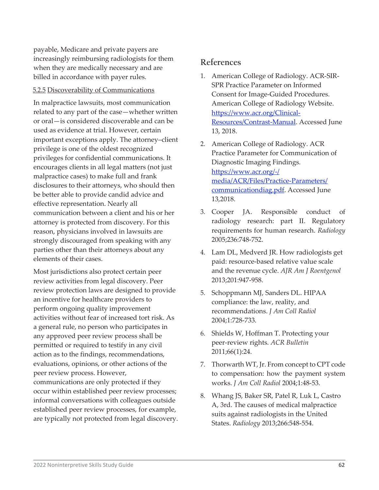payable, Medicare and private payers are increasingly reimbursing radiologists for them when they are medically necessary and are billed in accordance with payer rules.

#### 5.2.5 Discoverability of Communications

In malpractice lawsuits, most communication related to any part of the case—whether written or oral—is considered discoverable and can be used as evidence at trial. However, certain important exceptions apply. The attorney–client privilege is one of the oldest recognized privileges for confidential communications. It encourages clients in all legal matters (not just malpractice cases) to make full and frank disclosures to their attorneys, who should then be better able to provide candid advice and effective representation. Nearly all communication between a client and his or her attorney is protected from discovery. For this reason, physicians involved in lawsuits are strongly discouraged from speaking with any parties other than their attorneys about any elements of their cases.

Most jurisdictions also protect certain peer review activities from legal discovery. Peer review protection laws are designed to provide an incentive for healthcare providers to perform ongoing quality improvement activities without fear of increased tort risk. As a general rule, no person who participates in any approved peer review process shall be permitted or required to testify in any civil action as to the findings, recommendations, evaluations, opinions, or other actions of the peer review process. However, communications are only protected if they occur within established peer review processes; informal conversations with colleagues outside established peer review processes, for example, are typically not protected from legal discovery.

# **References**

- 1. American College of Radiology. ACR-SIR-SPR Practice Parameter on Informed Consent for Image-Guided Procedures. American College of Radiology Website. [https://www.acr.org/Clinical-](https://www.acr.org/Clinical-Resources/Contrast-Manual)[Resources/Contrast-Manual.](https://www.acr.org/Clinical-Resources/Contrast-Manual) Accessed June 13, 2018.
- 2. American College of Radiology. ACR Practice Parameter for Communication of Diagnostic Imaging Findings. [https://www.acr.org/-/](https://www.acr.org/-/media/ACR/Files/Practice-Parameters/communicationdiag.pdf) [media/ACR/Files/Practice-Parameters/](https://www.acr.org/-/media/ACR/Files/Practice-Parameters/communicationdiag.pdf) [communicationdiag.pdf.](https://www.acr.org/-/media/ACR/Files/Practice-Parameters/communicationdiag.pdf) Accessed June 13,2018.
- 3. Cooper JA. Responsible conduct of radiology research: part II. Regulatory requirements for human research. *Radiology*  2005;236:748-752.
- 4. Lam DL, Medverd JR. How radiologists get paid: resource-based relative value scale and the revenue cycle. *AJR Am J Roentgenol*  2013;201:947-958.
- 5. Schoppmann MJ, Sanders DL. HIPAA compliance: the law, reality, and recommendations. *J Am Coll Radiol*  2004;1:728-733.
- 6. Shields W, Hoffman T. Protecting your peer-review rights. *ACR Bulletin*  2011;66(1):24.
- 7. Thorwarth WT, Jr. From concept to CPT code to compensation: how the payment system works. *J Am Coll Radiol* 2004;1:48-53.
- 8. Whang JS, Baker SR, Patel R, Luk L, Castro A, 3rd. The causes of medical malpractice suits against radiologists in the United States. *Radiology* 2013;266:548-554.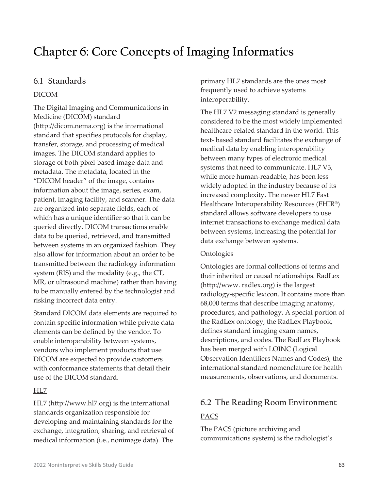# **Chapter 6: Core Concepts of Imaging Informatics**

# **6.1 Standards**

# DICOM

The Digital Imaging and Communications in Medicine (DICOM) standard (http://dicom.nema.org) is the international standard that specifies protocols for display, transfer, storage, and processing of medical images. The DICOM standard applies to storage of both pixel-based image data and metadata. The metadata, located in the "DICOM header" of the image, contains information about the image, series, exam, patient, imaging facility, and scanner. The data are organized into separate fields, each of which has a unique identifier so that it can be queried directly. DICOM transactions enable data to be queried, retrieved, and transmitted between systems in an organized fashion. They also allow for information about an order to be transmitted between the radiology information system (RIS) and the modality (e.g., the CT, MR, or ultrasound machine) rather than having to be manually entered by the technologist and risking incorrect data entry.

Standard DICOM data elements are required to contain specific information while private data elements can be defined by the vendor. To enable interoperability between systems, vendors who implement products that use DICOM are expected to provide customers with conformance statements that detail their use of the DICOM standard.

# HL7

HL7 (http://www.hl7.org) is the international standards organization responsible for developing and maintaining standards for the exchange, integration, sharing, and retrieval of medical information (i.e., nonimage data). The

primary HL7 standards are the ones most frequently used to achieve systems interoperability.

The HL7 V2 messaging standard is generally considered to be the most widely implemented healthcare-related standard in the world. This text- based standard facilitates the exchange of medical data by enabling interoperability between many types of electronic medical systems that need to communicate. HL7 V3, while more human-readable, has been less widely adopted in the industry because of its increased complexity. The newer HL7 Fast Healthcare Interoperability Resources (FHIR®) standard allows software developers to use internet transactions to exchange medical data between systems, increasing the potential for data exchange between systems.

## **Ontologies**

Ontologies are formal collections of terms and their inherited or causal relationships. RadLex [\(http://www.](http://www/) radlex.org) is the largest radiology-specific lexicon. It contains more than 68,000 terms that describe imaging anatomy, procedures, and pathology. A special portion of the RadLex ontology, the RadLex Playbook, defines standard imaging exam names, descriptions, and codes. The RadLex Playbook has been merged with LOINC (Logical Observation Identifiers Names and Codes), the international standard nomenclature for health measurements, observations, and documents.

# **6.2 The Reading Room Environment** PACS

The PACS (picture archiving and communications system) is the radiologist's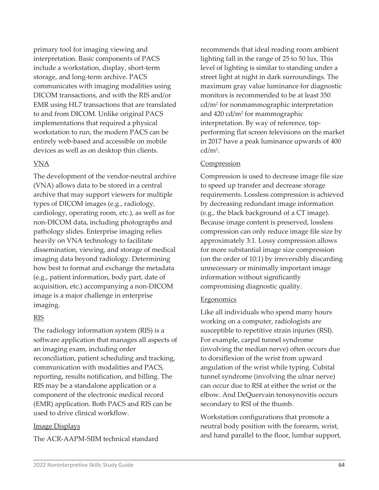primary tool for imaging viewing and interpretation. Basic components of PACS include a workstation, display, short-term storage, and long-term archive. PACS communicates with imaging modalities using DICOM transactions, and with the RIS and/or EMR using HL7 transactions that are translated to and from DICOM. Unlike original PACS implementations that required a physical workstation to run, the modern PACS can be entirely web-based and accessible on mobile devices as well as on desktop thin clients.

#### VNA

The development of the vendor-neutral archive (VNA) allows data to be stored in a central archive that may support viewers for multiple types of DICOM images (e.g., radiology, cardiology, operating room, etc.), as well as for non-DICOM data, including photographs and pathology slides. Enterprise imaging relies heavily on VNA technology to facilitate dissemination, viewing, and storage of medical imaging data beyond radiology. Determining how best to format and exchange the metadata (e.g., patient information, body part, date of acquisition, etc.) accompanying a non-DICOM image is a major challenge in enterprise imaging.

#### RIS

The radiology information system (RIS) is a software application that manages all aspects of an imaging exam, including order reconciliation, patient scheduling and tracking, communication with modalities and PACS, reporting, results notification, and billing. The RIS may be a standalone application or a component of the electronic medical record (EMR) application. Both PACS and RIS can be used to drive clinical workflow.

#### Image Displays

The ACR-AAPM-SIIM technical standard

recommends that ideal reading room ambient lighting fall in the range of 25 to 50 lux. This level of lighting is similar to standing under a street light at night in dark surroundings. The maximum gray value luminance for diagnostic monitors is recommended to be at least 350 cd/m2 for nonmammographic interpretation and 420 cd/m2 for mammographic interpretation. By way of reference, topperforming flat screen televisions on the market in 2017 have a peak luminance upwards of 400 cd/m2.

#### **Compression**

Compression is used to decrease image file size to speed up transfer and decrease storage requirements. Lossless compression is achieved by decreasing redundant image information (e.g., the black background of a CT image). Because image content is preserved, lossless compression can only reduce image file size by approximately 3:1. Lossy compression allows for more substantial image size compression (on the order of 10:1) by irreversibly discarding unnecessary or minimally important image information without significantly compromising diagnostic quality.

#### **Ergonomics**

Like all individuals who spend many hours working on a computer, radiologists are susceptible to repetitive strain injuries (RSI). For example, carpal tunnel syndrome (involving the median nerve) often occurs due to dorsiflexion of the wrist from upward angulation of the wrist while typing. Cubital tunnel syndrome (involving the ulnar nerve) can occur due to RSI at either the wrist or the elbow. And DeQuervain tenosynovitis occurs secondary to RSI of the thumb.

Workstation configurations that promote a neutral body position with the forearm, wrist, and hand parallel to the floor, lumbar support,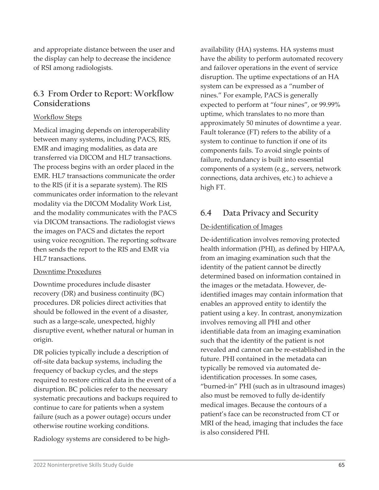and appropriate distance between the user and the display can help to decrease the incidence of RSI among radiologists.

# **6.3 From Order to Report: Workflow Considerations**

#### Workflow Steps

Medical imaging depends on interoperability between many systems, including PACS, RIS, EMR and imaging modalities, as data are transferred via DICOM and HL7 transactions. The process begins with an order placed in the EMR. HL7 transactions communicate the order to the RIS (if it is a separate system). The RIS communicates order information to the relevant modality via the DICOM Modality Work List, and the modality communicates with the PACS via DICOM transactions. The radiologist views the images on PACS and dictates the report using voice recognition. The reporting software then sends the report to the RIS and EMR via HL7 transactions.

### Downtime Procedures

Downtime procedures include disaster recovery (DR) and business continuity (BC) procedures. DR policies direct activities that should be followed in the event of a disaster, such as a large-scale, unexpected, highly disruptive event, whether natural or human in origin.

DR policies typically include a description of off-site data backup systems, including the frequency of backup cycles, and the steps required to restore critical data in the event of a disruption. BC policies refer to the necessary systematic precautions and backups required to continue to care for patients when a system failure (such as a power outage) occurs under otherwise routine working conditions.

Radiology systems are considered to be high-

availability (HA) systems. HA systems must have the ability to perform automated recovery and failover operations in the event of service disruption. The uptime expectations of an HA system can be expressed as a "number of nines." For example, PACS is generally expected to perform at "four nines", or 99.99% uptime, which translates to no more than approximately 50 minutes of downtime a year. Fault tolerance (FT) refers to the ability of a system to continue to function if one of its components fails. To avoid single points of failure, redundancy is built into essential components of a system (e.g., servers, network connections, data archives, etc.) to achieve a high FT.

# **6.4 Data Privacy and Security**

## De-identification of Images

De-identification involves removing protected health information (PHI), as defined by HIPAA, from an imaging examination such that the identity of the patient cannot be directly determined based on information contained in the images or the metadata. However, deidentified images may contain information that enables an approved entity to identify the patient using a key. In contrast, anonymization involves removing all PHI and other identifiable data from an imaging examination such that the identity of the patient is not revealed and cannot can be re-established in the future. PHI contained in the metadata can typically be removed via automated deidentification processes. In some cases, "burned-in" PHI (such as in ultrasound images) also must be removed to fully de-identify medical images. Because the contours of a patient's face can be reconstructed from CT or MRI of the head, imaging that includes the face is also considered PHI.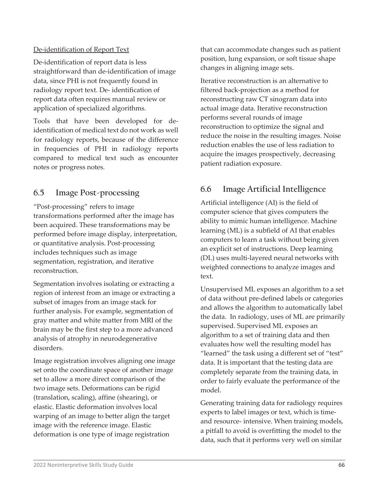#### De-identification of Report Text

De-identification of report data is less straightforward than de-identification of image data, since PHI is not frequently found in radiology report text. De- identification of report data often requires manual review or application of specialized algorithms.

Tools that have been developed for deidentification of medical text do not work as well for radiology reports, because of the difference in frequencies of PHI in radiology reports compared to medical text such as encounter notes or progress notes.

# **6.5 Image Post-processing**

"Post-processing" refers to image transformations performed after the image has been acquired. These transformations may be performed before image display, interpretation, or quantitative analysis. Post-processing includes techniques such as image segmentation, registration, and iterative reconstruction.

Segmentation involves isolating or extracting a region of interest from an image or extracting a subset of images from an image stack for further analysis. For example, segmentation of gray matter and white matter from MRI of the brain may be the first step to a more advanced analysis of atrophy in neurodegenerative disorders.

Image registration involves aligning one image set onto the coordinate space of another image set to allow a more direct comparison of the two image sets. Deformations can be rigid (translation, scaling), affine (shearing), or elastic. Elastic deformation involves local warping of an image to better align the target image with the reference image. Elastic deformation is one type of image registration

that can accommodate changes such as patient position, lung expansion, or soft tissue shape changes in aligning image sets.

Iterative reconstruction is an alternative to filtered back-projection as a method for reconstructing raw CT sinogram data into actual image data. Iterative reconstruction performs several rounds of image reconstruction to optimize the signal and reduce the noise in the resulting images. Noise reduction enables the use of less radiation to acquire the images prospectively, decreasing patient radiation exposure.

# **6.6 Image Artificial Intelligence**

Artificial intelligence (AI) is the field of computer science that gives computers the ability to mimic human intelligence. Machine learning (ML) is a subfield of AI that enables computers to learn a task without being given an explicit set of instructions. Deep learning (DL) uses multi-layered neural networks with weighted connections to analyze images and text.

Unsupervised ML exposes an algorithm to a set of data without pre-defined labels or categories and allows the algorithm to automatically label the data. In radiology, uses of ML are primarily supervised. Supervised ML exposes an algorithm to a set of training data and then evaluates how well the resulting model has "learned" the task using a different set of "test" data. It is important that the testing data are completely separate from the training data, in order to fairly evaluate the performance of the model.

Generating training data for radiology requires experts to label images or text, which is timeand resource- intensive. When training models, a pitfall to avoid is overfitting the model to the data, such that it performs very well on similar